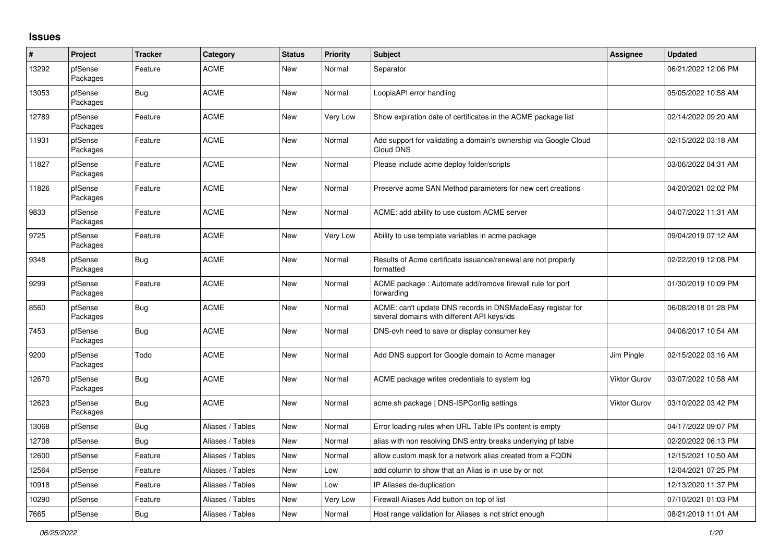## **Issues**

| #     | Project             | <b>Tracker</b> | Category         | <b>Status</b> | <b>Priority</b> | <b>Subject</b>                                                                                            | <b>Assignee</b>     | <b>Updated</b>      |
|-------|---------------------|----------------|------------------|---------------|-----------------|-----------------------------------------------------------------------------------------------------------|---------------------|---------------------|
| 13292 | pfSense<br>Packages | Feature        | <b>ACME</b>      | New           | Normal          | Separator                                                                                                 |                     | 06/21/2022 12:06 PM |
| 13053 | pfSense<br>Packages | <b>Bug</b>     | <b>ACME</b>      | <b>New</b>    | Normal          | LoopiaAPI error handling                                                                                  |                     | 05/05/2022 10:58 AM |
| 12789 | pfSense<br>Packages | Feature        | <b>ACME</b>      | <b>New</b>    | Very Low        | Show expiration date of certificates in the ACME package list                                             |                     | 02/14/2022 09:20 AM |
| 11931 | pfSense<br>Packages | Feature        | <b>ACME</b>      | <b>New</b>    | Normal          | Add support for validating a domain's ownership via Google Cloud<br>Cloud DNS                             |                     | 02/15/2022 03:18 AM |
| 11827 | pfSense<br>Packages | Feature        | <b>ACME</b>      | <b>New</b>    | Normal          | Please include acme deploy folder/scripts                                                                 |                     | 03/06/2022 04:31 AM |
| 11826 | pfSense<br>Packages | Feature        | <b>ACME</b>      | <b>New</b>    | Normal          | Preserve acme SAN Method parameters for new cert creations                                                |                     | 04/20/2021 02:02 PM |
| 9833  | pfSense<br>Packages | Feature        | <b>ACME</b>      | <b>New</b>    | Normal          | ACME: add ability to use custom ACME server                                                               |                     | 04/07/2022 11:31 AM |
| 9725  | pfSense<br>Packages | Feature        | <b>ACME</b>      | New           | Very Low        | Ability to use template variables in acme package                                                         |                     | 09/04/2019 07:12 AM |
| 9348  | pfSense<br>Packages | Bug            | <b>ACME</b>      | <b>New</b>    | Normal          | Results of Acme certificate issuance/renewal are not properly<br>formatted                                |                     | 02/22/2019 12:08 PM |
| 9299  | pfSense<br>Packages | Feature        | <b>ACME</b>      | <b>New</b>    | Normal          | ACME package : Automate add/remove firewall rule for port<br>forwarding                                   |                     | 01/30/2019 10:09 PM |
| 8560  | pfSense<br>Packages | Bug            | <b>ACME</b>      | <b>New</b>    | Normal          | ACME: can't update DNS records in DNSMadeEasy registar for<br>several domains with different API keys/ids |                     | 06/08/2018 01:28 PM |
| 7453  | pfSense<br>Packages | Bug            | <b>ACME</b>      | <b>New</b>    | Normal          | DNS-ovh need to save or display consumer key                                                              |                     | 04/06/2017 10:54 AM |
| 9200  | pfSense<br>Packages | Todo           | <b>ACME</b>      | <b>New</b>    | Normal          | Add DNS support for Google domain to Acme manager                                                         | Jim Pingle          | 02/15/2022 03:16 AM |
| 12670 | pfSense<br>Packages | Bug            | <b>ACME</b>      | <b>New</b>    | Normal          | ACME package writes credentials to system log                                                             | <b>Viktor Gurov</b> | 03/07/2022 10:58 AM |
| 12623 | pfSense<br>Packages | Bug            | <b>ACME</b>      | <b>New</b>    | Normal          | acme.sh package   DNS-ISPConfig settings                                                                  | <b>Viktor Gurov</b> | 03/10/2022 03:42 PM |
| 13068 | pfSense             | Bug            | Aliases / Tables | <b>New</b>    | Normal          | Error loading rules when URL Table IPs content is empty                                                   |                     | 04/17/2022 09:07 PM |
| 12708 | pfSense             | Bug            | Aliases / Tables | <b>New</b>    | Normal          | alias with non resolving DNS entry breaks underlying pf table                                             |                     | 02/20/2022 06:13 PM |
| 12600 | pfSense             | Feature        | Aliases / Tables | New           | Normal          | allow custom mask for a network alias created from a FQDN                                                 |                     | 12/15/2021 10:50 AM |
| 12564 | pfSense             | Feature        | Aliases / Tables | New           | Low             | add column to show that an Alias is in use by or not                                                      |                     | 12/04/2021 07:25 PM |
| 10918 | pfSense             | Feature        | Aliases / Tables | New           | Low             | IP Aliases de-duplication                                                                                 |                     | 12/13/2020 11:37 PM |
| 10290 | pfSense             | Feature        | Aliases / Tables | <b>New</b>    | <b>Very Low</b> | Firewall Aliases Add button on top of list                                                                |                     | 07/10/2021 01:03 PM |
| 7665  | pfSense             | Bug            | Aliases / Tables | New           | Normal          | Host range validation for Aliases is not strict enough                                                    |                     | 08/21/2019 11:01 AM |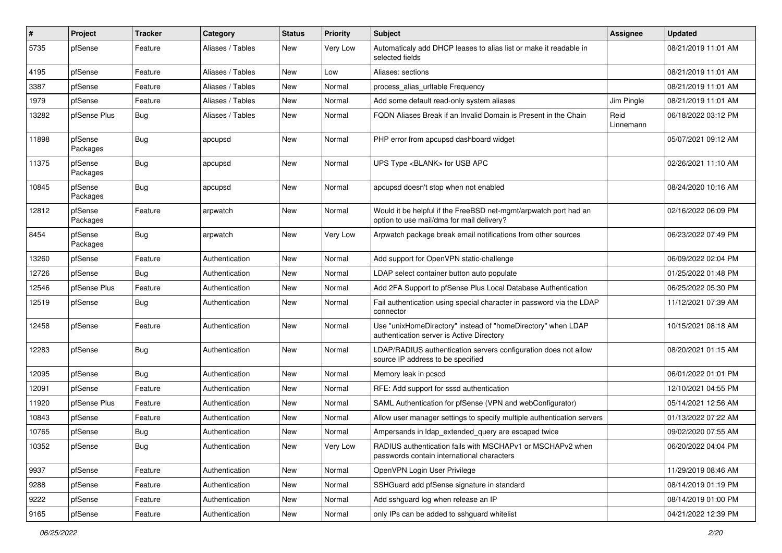| #     | Project             | <b>Tracker</b> | Category         | <b>Status</b> | <b>Priority</b> | Subject                                                                                                       | Assignee          | <b>Updated</b>      |
|-------|---------------------|----------------|------------------|---------------|-----------------|---------------------------------------------------------------------------------------------------------------|-------------------|---------------------|
| 5735  | pfSense             | Feature        | Aliases / Tables | New           | Very Low        | Automaticaly add DHCP leases to alias list or make it readable in<br>selected fields                          |                   | 08/21/2019 11:01 AM |
| 4195  | pfSense             | Feature        | Aliases / Tables | New           | Low             | Aliases: sections                                                                                             |                   | 08/21/2019 11:01 AM |
| 3387  | pfSense             | Feature        | Aliases / Tables | New           | Normal          | process_alias_urltable Frequency                                                                              |                   | 08/21/2019 11:01 AM |
| 1979  | pfSense             | Feature        | Aliases / Tables | <b>New</b>    | Normal          | Add some default read-only system aliases                                                                     | Jim Pingle        | 08/21/2019 11:01 AM |
| 13282 | pfSense Plus        | Bug            | Aliases / Tables | New           | Normal          | FQDN Aliases Break if an Invalid Domain is Present in the Chain                                               | Reid<br>Linnemann | 06/18/2022 03:12 PM |
| 11898 | pfSense<br>Packages | <b>Bug</b>     | apcupsd          | <b>New</b>    | Normal          | PHP error from apcupsd dashboard widget                                                                       |                   | 05/07/2021 09:12 AM |
| 11375 | pfSense<br>Packages | <b>Bug</b>     | apcupsd          | <b>New</b>    | Normal          | UPS Type <blank> for USB APC</blank>                                                                          |                   | 02/26/2021 11:10 AM |
| 10845 | pfSense<br>Packages | <b>Bug</b>     | apcupsd          | <b>New</b>    | Normal          | apcupsd doesn't stop when not enabled                                                                         |                   | 08/24/2020 10:16 AM |
| 12812 | pfSense<br>Packages | Feature        | arpwatch         | <b>New</b>    | Normal          | Would it be helpful if the FreeBSD net-mgmt/arpwatch port had an<br>option to use mail/dma for mail delivery? |                   | 02/16/2022 06:09 PM |
| 8454  | pfSense<br>Packages | <b>Bug</b>     | arpwatch         | <b>New</b>    | Very Low        | Arpwatch package break email notifications from other sources                                                 |                   | 06/23/2022 07:49 PM |
| 13260 | pfSense             | Feature        | Authentication   | <b>New</b>    | Normal          | Add support for OpenVPN static-challenge                                                                      |                   | 06/09/2022 02:04 PM |
| 12726 | pfSense             | Bug            | Authentication   | <b>New</b>    | Normal          | LDAP select container button auto populate                                                                    |                   | 01/25/2022 01:48 PM |
| 12546 | pfSense Plus        | Feature        | Authentication   | <b>New</b>    | Normal          | Add 2FA Support to pfSense Plus Local Database Authentication                                                 |                   | 06/25/2022 05:30 PM |
| 12519 | pfSense             | Bug            | Authentication   | New           | Normal          | Fail authentication using special character in password via the LDAP<br>connector                             |                   | 11/12/2021 07:39 AM |
| 12458 | pfSense             | Feature        | Authentication   | <b>New</b>    | Normal          | Use "unixHomeDirectory" instead of "homeDirectory" when LDAP<br>authentication server is Active Directory     |                   | 10/15/2021 08:18 AM |
| 12283 | pfSense             | <b>Bug</b>     | Authentication   | <b>New</b>    | Normal          | LDAP/RADIUS authentication servers configuration does not allow<br>source IP address to be specified          |                   | 08/20/2021 01:15 AM |
| 12095 | pfSense             | Bug            | Authentication   | <b>New</b>    | Normal          | Memory leak in pcscd                                                                                          |                   | 06/01/2022 01:01 PM |
| 12091 | pfSense             | Feature        | Authentication   | New           | Normal          | RFE: Add support for sssd authentication                                                                      |                   | 12/10/2021 04:55 PM |
| 11920 | pfSense Plus        | Feature        | Authentication   | New           | Normal          | SAML Authentication for pfSense (VPN and webConfigurator)                                                     |                   | 05/14/2021 12:56 AM |
| 10843 | pfSense             | Feature        | Authentication   | New           | Normal          | Allow user manager settings to specify multiple authentication servers                                        |                   | 01/13/2022 07:22 AM |
| 10765 | pfSense             | <b>Bug</b>     | Authentication   | New           | Normal          | Ampersands in Idap_extended_query are escaped twice                                                           |                   | 09/02/2020 07:55 AM |
| 10352 | pfSense             | <b>Bug</b>     | Authentication   | New           | Very Low        | RADIUS authentication fails with MSCHAPv1 or MSCHAPv2 when<br>passwords contain international characters      |                   | 06/20/2022 04:04 PM |
| 9937  | pfSense             | Feature        | Authentication   | New           | Normal          | OpenVPN Login User Privilege                                                                                  |                   | 11/29/2019 08:46 AM |
| 9288  | pfSense             | Feature        | Authentication   | New           | Normal          | SSHGuard add pfSense signature in standard                                                                    |                   | 08/14/2019 01:19 PM |
| 9222  | pfSense             | Feature        | Authentication   | New           | Normal          | Add sshguard log when release an IP                                                                           |                   | 08/14/2019 01:00 PM |
| 9165  | pfSense             | Feature        | Authentication   | New           | Normal          | only IPs can be added to sshguard whitelist                                                                   |                   | 04/21/2022 12:39 PM |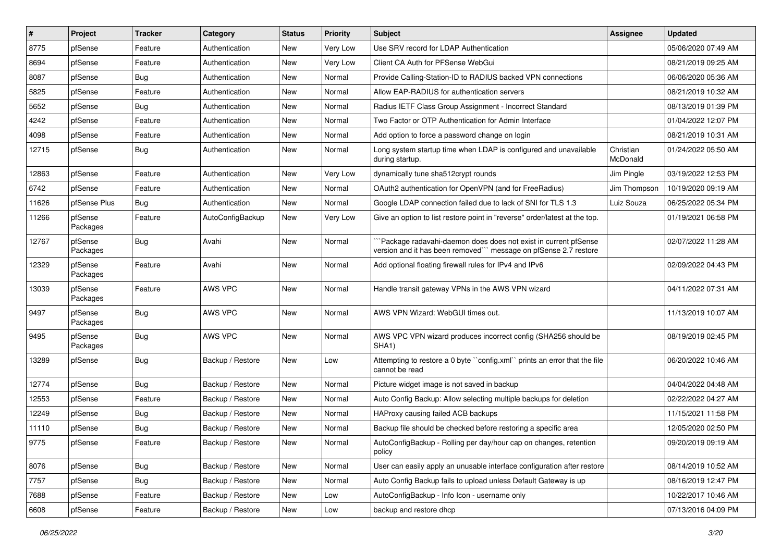| #     | Project             | <b>Tracker</b> | Category         | <b>Status</b> | <b>Priority</b> | Subject                                                                                                                              | Assignee              | <b>Updated</b>      |
|-------|---------------------|----------------|------------------|---------------|-----------------|--------------------------------------------------------------------------------------------------------------------------------------|-----------------------|---------------------|
| 8775  | pfSense             | Feature        | Authentication   | New           | Very Low        | Use SRV record for LDAP Authentication                                                                                               |                       | 05/06/2020 07:49 AM |
| 8694  | pfSense             | Feature        | Authentication   | New           | Very Low        | Client CA Auth for PFSense WebGui                                                                                                    |                       | 08/21/2019 09:25 AM |
| 8087  | pfSense             | Bug            | Authentication   | New           | Normal          | Provide Calling-Station-ID to RADIUS backed VPN connections                                                                          |                       | 06/06/2020 05:36 AM |
| 5825  | pfSense             | Feature        | Authentication   | New           | Normal          | Allow EAP-RADIUS for authentication servers                                                                                          |                       | 08/21/2019 10:32 AM |
| 5652  | pfSense             | Bug            | Authentication   | New           | Normal          | Radius IETF Class Group Assignment - Incorrect Standard                                                                              |                       | 08/13/2019 01:39 PM |
| 4242  | pfSense             | Feature        | Authentication   | New           | Normal          | Two Factor or OTP Authentication for Admin Interface                                                                                 |                       | 01/04/2022 12:07 PM |
| 4098  | pfSense             | Feature        | Authentication   | New           | Normal          | Add option to force a password change on login                                                                                       |                       | 08/21/2019 10:31 AM |
| 12715 | pfSense             | Bug            | Authentication   | <b>New</b>    | Normal          | Long system startup time when LDAP is configured and unavailable<br>during startup.                                                  | Christian<br>McDonald | 01/24/2022 05:50 AM |
| 12863 | pfSense             | Feature        | Authentication   | <b>New</b>    | Very Low        | dynamically tune sha512crypt rounds                                                                                                  | Jim Pingle            | 03/19/2022 12:53 PM |
| 6742  | pfSense             | Feature        | Authentication   | New           | Normal          | OAuth2 authentication for OpenVPN (and for FreeRadius)                                                                               | Jim Thompson          | 10/19/2020 09:19 AM |
| 11626 | pfSense Plus        | Bug            | Authentication   | New           | Normal          | Google LDAP connection failed due to lack of SNI for TLS 1.3                                                                         | Luiz Souza            | 06/25/2022 05:34 PM |
| 11266 | pfSense<br>Packages | Feature        | AutoConfigBackup | <b>New</b>    | Very Low        | Give an option to list restore point in "reverse" order/latest at the top.                                                           |                       | 01/19/2021 06:58 PM |
| 12767 | pfSense<br>Packages | Bug            | Avahi            | <b>New</b>    | Normal          | `Package radavahi-daemon does does not exist in current pfSense<br>version and it has been removed``` message on pfSense 2.7 restore |                       | 02/07/2022 11:28 AM |
| 12329 | pfSense<br>Packages | Feature        | Avahi            | <b>New</b>    | Normal          | Add optional floating firewall rules for IPv4 and IPv6                                                                               |                       | 02/09/2022 04:43 PM |
| 13039 | pfSense<br>Packages | Feature        | AWS VPC          | <b>New</b>    | Normal          | Handle transit gateway VPNs in the AWS VPN wizard                                                                                    |                       | 04/11/2022 07:31 AM |
| 9497  | pfSense<br>Packages | Bug            | AWS VPC          | New           | Normal          | AWS VPN Wizard: WebGUI times out.                                                                                                    |                       | 11/13/2019 10:07 AM |
| 9495  | pfSense<br>Packages | Bug            | AWS VPC          | New           | Normal          | AWS VPC VPN wizard produces incorrect config (SHA256 should be<br>SHA1)                                                              |                       | 08/19/2019 02:45 PM |
| 13289 | pfSense             | Bug            | Backup / Restore | <b>New</b>    | Low             | Attempting to restore a 0 byte "config.xml" prints an error that the file<br>cannot be read                                          |                       | 06/20/2022 10:46 AM |
| 12774 | pfSense             | Bug            | Backup / Restore | New           | Normal          | Picture widget image is not saved in backup                                                                                          |                       | 04/04/2022 04:48 AM |
| 12553 | pfSense             | Feature        | Backup / Restore | New           | Normal          | Auto Config Backup: Allow selecting multiple backups for deletion                                                                    |                       | 02/22/2022 04:27 AM |
| 12249 | pfSense             | Bug            | Backup / Restore | <b>New</b>    | Normal          | HAProxy causing failed ACB backups                                                                                                   |                       | 11/15/2021 11:58 PM |
| 11110 | pfSense             | <b>Bug</b>     | Backup / Restore | <b>New</b>    | Normal          | Backup file should be checked before restoring a specific area                                                                       |                       | 12/05/2020 02:50 PM |
| 9775  | pfSense             | Feature        | Backup / Restore | New           | Normal          | AutoConfigBackup - Rolling per day/hour cap on changes, retention<br>policy                                                          |                       | 09/20/2019 09:19 AM |
| 8076  | pfSense             | Bug            | Backup / Restore | New           | Normal          | User can easily apply an unusable interface configuration after restore                                                              |                       | 08/14/2019 10:52 AM |
| 7757  | pfSense             | <b>Bug</b>     | Backup / Restore | New           | Normal          | Auto Config Backup fails to upload unless Default Gateway is up                                                                      |                       | 08/16/2019 12:47 PM |
| 7688  | pfSense             | Feature        | Backup / Restore | New           | Low             | AutoConfigBackup - Info Icon - username only                                                                                         |                       | 10/22/2017 10:46 AM |
| 6608  | pfSense             | Feature        | Backup / Restore | New           | Low             | backup and restore dhcp                                                                                                              |                       | 07/13/2016 04:09 PM |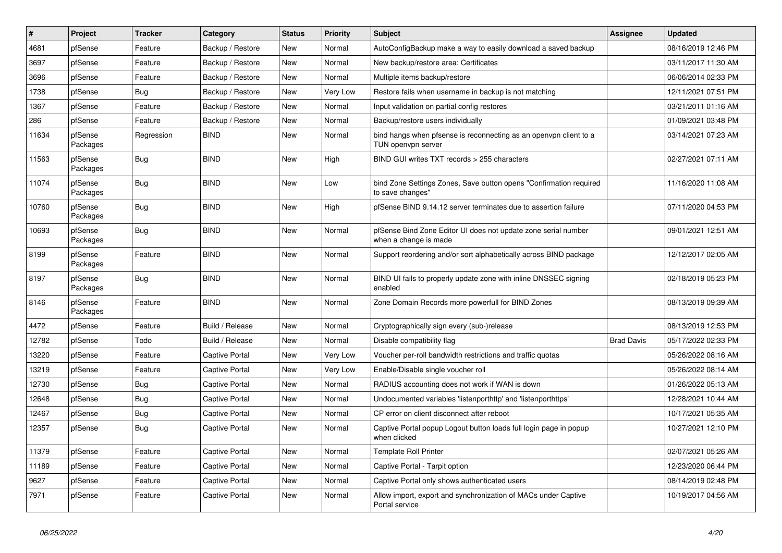| $\vert$ # | Project             | <b>Tracker</b> | Category              | <b>Status</b> | <b>Priority</b> | <b>Subject</b>                                                                          | Assignee          | <b>Updated</b>      |
|-----------|---------------------|----------------|-----------------------|---------------|-----------------|-----------------------------------------------------------------------------------------|-------------------|---------------------|
| 4681      | pfSense             | Feature        | Backup / Restore      | New           | Normal          | AutoConfigBackup make a way to easily download a saved backup                           |                   | 08/16/2019 12:46 PM |
| 3697      | pfSense             | Feature        | Backup / Restore      | New           | Normal          | New backup/restore area: Certificates                                                   |                   | 03/11/2017 11:30 AM |
| 3696      | pfSense             | Feature        | Backup / Restore      | New           | Normal          | Multiple items backup/restore                                                           |                   | 06/06/2014 02:33 PM |
| 1738      | pfSense             | Bug            | Backup / Restore      | New           | Very Low        | Restore fails when username in backup is not matching                                   |                   | 12/11/2021 07:51 PM |
| 1367      | pfSense             | Feature        | Backup / Restore      | New           | Normal          | Input validation on partial config restores                                             |                   | 03/21/2011 01:16 AM |
| 286       | pfSense             | Feature        | Backup / Restore      | New           | Normal          | Backup/restore users individually                                                       |                   | 01/09/2021 03:48 PM |
| 11634     | pfSense<br>Packages | Regression     | <b>BIND</b>           | New           | Normal          | bind hangs when pfsense is reconnecting as an openypn client to a<br>TUN openvpn server |                   | 03/14/2021 07:23 AM |
| 11563     | pfSense<br>Packages | Bug            | <b>BIND</b>           | New           | High            | BIND GUI writes TXT records > 255 characters                                            |                   | 02/27/2021 07:11 AM |
| 11074     | pfSense<br>Packages | Bug            | <b>BIND</b>           | New           | Low             | bind Zone Settings Zones, Save button opens "Confirmation required<br>to save changes"  |                   | 11/16/2020 11:08 AM |
| 10760     | pfSense<br>Packages | Bug            | <b>BIND</b>           | New           | High            | pfSense BIND 9.14.12 server terminates due to assertion failure                         |                   | 07/11/2020 04:53 PM |
| 10693     | pfSense<br>Packages | Bug            | <b>BIND</b>           | New           | Normal          | pfSense Bind Zone Editor UI does not update zone serial number<br>when a change is made |                   | 09/01/2021 12:51 AM |
| 8199      | pfSense<br>Packages | Feature        | <b>BIND</b>           | <b>New</b>    | Normal          | Support reordering and/or sort alphabetically across BIND package                       |                   | 12/12/2017 02:05 AM |
| 8197      | pfSense<br>Packages | Bug            | <b>BIND</b>           | New           | Normal          | BIND UI fails to properly update zone with inline DNSSEC signing<br>enabled             |                   | 02/18/2019 05:23 PM |
| 8146      | pfSense<br>Packages | Feature        | <b>BIND</b>           | New           | Normal          | Zone Domain Records more powerfull for BIND Zones                                       |                   | 08/13/2019 09:39 AM |
| 4472      | pfSense             | Feature        | Build / Release       | New           | Normal          | Cryptographically sign every (sub-)release                                              |                   | 08/13/2019 12:53 PM |
| 12782     | pfSense             | Todo           | Build / Release       | New           | Normal          | Disable compatibility flag                                                              | <b>Brad Davis</b> | 05/17/2022 02:33 PM |
| 13220     | pfSense             | Feature        | <b>Captive Portal</b> | New           | Very Low        | Voucher per-roll bandwidth restrictions and traffic quotas                              |                   | 05/26/2022 08:16 AM |
| 13219     | pfSense             | Feature        | <b>Captive Portal</b> | New           | Very Low        | Enable/Disable single voucher roll                                                      |                   | 05/26/2022 08:14 AM |
| 12730     | pfSense             | Bug            | <b>Captive Portal</b> | New           | Normal          | RADIUS accounting does not work if WAN is down                                          |                   | 01/26/2022 05:13 AM |
| 12648     | pfSense             | <b>Bug</b>     | <b>Captive Portal</b> | New           | Normal          | Undocumented variables 'listenporthttp' and 'listenporthttps'                           |                   | 12/28/2021 10:44 AM |
| 12467     | pfSense             | Bug            | <b>Captive Portal</b> | New           | Normal          | CP error on client disconnect after reboot                                              |                   | 10/17/2021 05:35 AM |
| 12357     | pfSense             | Bug            | <b>Captive Portal</b> | New           | Normal          | Captive Portal popup Logout button loads full login page in popup<br>when clicked       |                   | 10/27/2021 12:10 PM |
| 11379     | pfSense             | Feature        | <b>Captive Portal</b> | New           | Normal          | <b>Template Roll Printer</b>                                                            |                   | 02/07/2021 05:26 AM |
| 11189     | pfSense             | Feature        | <b>Captive Portal</b> | New           | Normal          | Captive Portal - Tarpit option                                                          |                   | 12/23/2020 06:44 PM |
| 9627      | pfSense             | Feature        | <b>Captive Portal</b> | New           | Normal          | Captive Portal only shows authenticated users                                           |                   | 08/14/2019 02:48 PM |
| 7971      | pfSense             | Feature        | <b>Captive Portal</b> | New           | Normal          | Allow import, export and synchronization of MACs under Captive<br>Portal service        |                   | 10/19/2017 04:56 AM |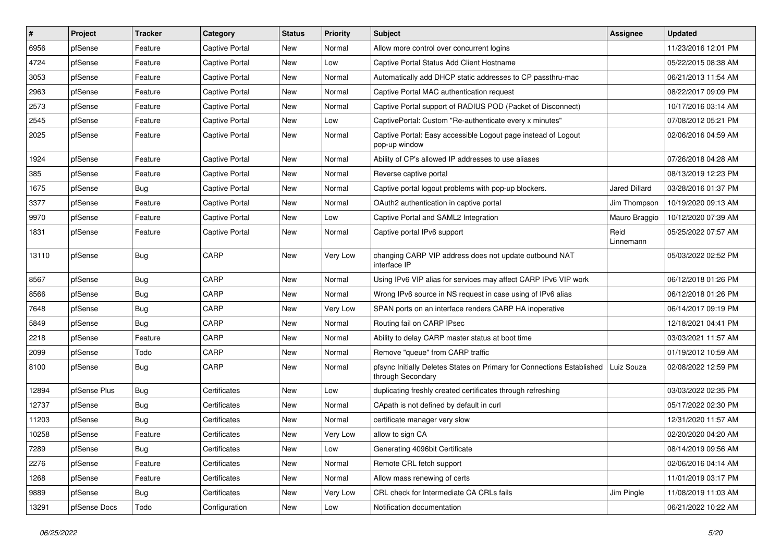| $\vert$ # | Project      | <b>Tracker</b> | Category              | <b>Status</b> | <b>Priority</b> | Subject                                                                                     | Assignee             | <b>Updated</b>      |
|-----------|--------------|----------------|-----------------------|---------------|-----------------|---------------------------------------------------------------------------------------------|----------------------|---------------------|
| 6956      | pfSense      | Feature        | <b>Captive Portal</b> | New           | Normal          | Allow more control over concurrent logins                                                   |                      | 11/23/2016 12:01 PM |
| 4724      | pfSense      | Feature        | <b>Captive Portal</b> | New           | Low             | Captive Portal Status Add Client Hostname                                                   |                      | 05/22/2015 08:38 AM |
| 3053      | pfSense      | Feature        | <b>Captive Portal</b> | New           | Normal          | Automatically add DHCP static addresses to CP passthru-mac                                  |                      | 06/21/2013 11:54 AM |
| 2963      | pfSense      | Feature        | <b>Captive Portal</b> | New           | Normal          | Captive Portal MAC authentication request                                                   |                      | 08/22/2017 09:09 PM |
| 2573      | pfSense      | Feature        | <b>Captive Portal</b> | New           | Normal          | Captive Portal support of RADIUS POD (Packet of Disconnect)                                 |                      | 10/17/2016 03:14 AM |
| 2545      | pfSense      | Feature        | <b>Captive Portal</b> | New           | Low             | CaptivePortal: Custom "Re-authenticate every x minutes"                                     |                      | 07/08/2012 05:21 PM |
| 2025      | pfSense      | Feature        | <b>Captive Portal</b> | New           | Normal          | Captive Portal: Easy accessible Logout page instead of Logout<br>pop-up window              |                      | 02/06/2016 04:59 AM |
| 1924      | pfSense      | Feature        | <b>Captive Portal</b> | New           | Normal          | Ability of CP's allowed IP addresses to use aliases                                         |                      | 07/26/2018 04:28 AM |
| 385       | pfSense      | Feature        | <b>Captive Portal</b> | <b>New</b>    | Normal          | Reverse captive portal                                                                      |                      | 08/13/2019 12:23 PM |
| 1675      | pfSense      | <b>Bug</b>     | <b>Captive Portal</b> | New           | Normal          | Captive portal logout problems with pop-up blockers.                                        | <b>Jared Dillard</b> | 03/28/2016 01:37 PM |
| 3377      | pfSense      | Feature        | <b>Captive Portal</b> | New           | Normal          | OAuth2 authentication in captive portal                                                     | Jim Thompson         | 10/19/2020 09:13 AM |
| 9970      | pfSense      | Feature        | <b>Captive Portal</b> | New           | Low             | Captive Portal and SAML2 Integration                                                        | Mauro Braggio        | 10/12/2020 07:39 AM |
| 1831      | pfSense      | Feature        | <b>Captive Portal</b> | New           | Normal          | Captive portal IPv6 support                                                                 | Reid<br>Linnemann    | 05/25/2022 07:57 AM |
| 13110     | pfSense      | Bug            | CARP                  | New           | Very Low        | changing CARP VIP address does not update outbound NAT<br>interface IP                      |                      | 05/03/2022 02:52 PM |
| 8567      | pfSense      | Bug            | CARP                  | <b>New</b>    | Normal          | Using IPv6 VIP alias for services may affect CARP IPv6 VIP work                             |                      | 06/12/2018 01:26 PM |
| 8566      | pfSense      | Bug            | CARP                  | New           | Normal          | Wrong IPv6 source in NS request in case using of IPv6 alias                                 |                      | 06/12/2018 01:26 PM |
| 7648      | pfSense      | <b>Bug</b>     | CARP                  | New           | Very Low        | SPAN ports on an interface renders CARP HA inoperative                                      |                      | 06/14/2017 09:19 PM |
| 5849      | pfSense      | Bug            | CARP                  | New           | Normal          | Routing fail on CARP IPsec                                                                  |                      | 12/18/2021 04:41 PM |
| 2218      | pfSense      | Feature        | CARP                  | New           | Normal          | Ability to delay CARP master status at boot time                                            |                      | 03/03/2021 11:57 AM |
| 2099      | pfSense      | Todo           | CARP                  | New           | Normal          | Remove "queue" from CARP traffic                                                            |                      | 01/19/2012 10:59 AM |
| 8100      | pfSense      | Bug            | CARP                  | New           | Normal          | pfsync Initially Deletes States on Primary for Connections Established<br>through Secondary | Luiz Souza           | 02/08/2022 12:59 PM |
| 12894     | pfSense Plus | Bug            | Certificates          | New           | Low             | duplicating freshly created certificates through refreshing                                 |                      | 03/03/2022 02:35 PM |
| 12737     | pfSense      | Bug            | Certificates          | New           | Normal          | CApath is not defined by default in curl                                                    |                      | 05/17/2022 02:30 PM |
| 11203     | pfSense      | <b>Bug</b>     | Certificates          | New           | Normal          | certificate manager very slow                                                               |                      | 12/31/2020 11:57 AM |
| 10258     | pfSense      | Feature        | Certificates          | New           | Very Low        | allow to sign CA                                                                            |                      | 02/20/2020 04:20 AM |
| 7289      | pfSense      | <b>Bug</b>     | Certificates          | New           | Low             | Generating 4096bit Certificate                                                              |                      | 08/14/2019 09:56 AM |
| 2276      | pfSense      | Feature        | Certificates          | New           | Normal          | Remote CRL fetch support                                                                    |                      | 02/06/2016 04:14 AM |
| 1268      | pfSense      | Feature        | Certificates          | New           | Normal          | Allow mass renewing of certs                                                                |                      | 11/01/2019 03:17 PM |
| 9889      | pfSense      | <b>Bug</b>     | Certificates          | New           | Very Low        | CRL check for Intermediate CA CRLs fails                                                    | Jim Pingle           | 11/08/2019 11:03 AM |
| 13291     | pfSense Docs | Todo           | Configuration         | New           | Low             | Notification documentation                                                                  |                      | 06/21/2022 10:22 AM |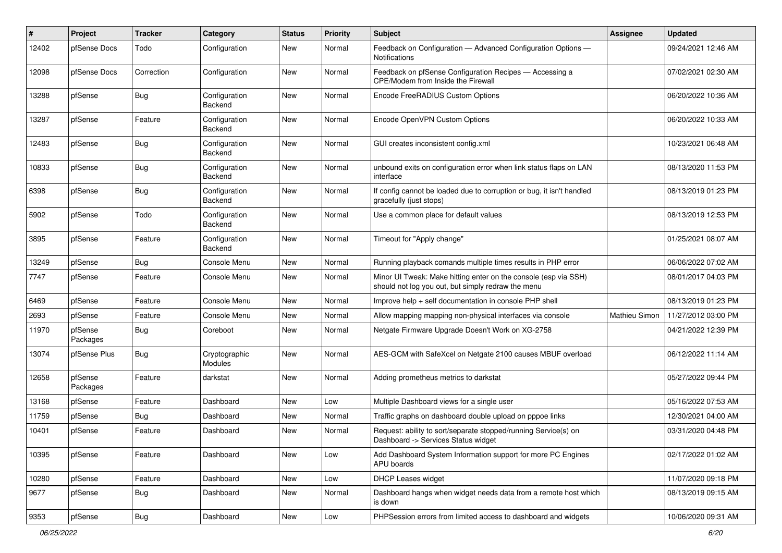| #     | Project             | <b>Tracker</b> | Category                 | <b>Status</b> | <b>Priority</b> | Subject                                                                                                               | Assignee      | <b>Updated</b>      |
|-------|---------------------|----------------|--------------------------|---------------|-----------------|-----------------------------------------------------------------------------------------------------------------------|---------------|---------------------|
| 12402 | pfSense Docs        | Todo           | Configuration            | New           | Normal          | Feedback on Configuration - Advanced Configuration Options -<br><b>Notifications</b>                                  |               | 09/24/2021 12:46 AM |
| 12098 | pfSense Docs        | Correction     | Configuration            | New           | Normal          | Feedback on pfSense Configuration Recipes - Accessing a<br>CPE/Modem from Inside the Firewall                         |               | 07/02/2021 02:30 AM |
| 13288 | pfSense             | <b>Bug</b>     | Configuration<br>Backend | New           | Normal          | Encode FreeRADIUS Custom Options                                                                                      |               | 06/20/2022 10:36 AM |
| 13287 | pfSense             | Feature        | Configuration<br>Backend | New           | Normal          | Encode OpenVPN Custom Options                                                                                         |               | 06/20/2022 10:33 AM |
| 12483 | pfSense             | Bug            | Configuration<br>Backend | New           | Normal          | GUI creates inconsistent config.xml                                                                                   |               | 10/23/2021 06:48 AM |
| 10833 | pfSense             | Bug            | Configuration<br>Backend | New           | Normal          | unbound exits on configuration error when link status flaps on LAN<br>interface                                       |               | 08/13/2020 11:53 PM |
| 6398  | pfSense             | Bug            | Configuration<br>Backend | New           | Normal          | If config cannot be loaded due to corruption or bug, it isn't handled<br>gracefully (just stops)                      |               | 08/13/2019 01:23 PM |
| 5902  | pfSense             | Todo           | Configuration<br>Backend | New           | Normal          | Use a common place for default values                                                                                 |               | 08/13/2019 12:53 PM |
| 3895  | pfSense             | Feature        | Configuration<br>Backend | New           | Normal          | Timeout for "Apply change"                                                                                            |               | 01/25/2021 08:07 AM |
| 13249 | pfSense             | Bug            | Console Menu             | New           | Normal          | Running playback comands multiple times results in PHP error                                                          |               | 06/06/2022 07:02 AM |
| 7747  | pfSense             | Feature        | Console Menu             | New           | Normal          | Minor UI Tweak: Make hitting enter on the console (esp via SSH)<br>should not log you out, but simply redraw the menu |               | 08/01/2017 04:03 PM |
| 6469  | pfSense             | Feature        | Console Menu             | New           | Normal          | Improve help + self documentation in console PHP shell                                                                |               | 08/13/2019 01:23 PM |
| 2693  | pfSense             | Feature        | Console Menu             | New           | Normal          | Allow mapping mapping non-physical interfaces via console                                                             | Mathieu Simon | 11/27/2012 03:00 PM |
| 11970 | pfSense<br>Packages | <b>Bug</b>     | Coreboot                 | New           | Normal          | Netgate Firmware Upgrade Doesn't Work on XG-2758                                                                      |               | 04/21/2022 12:39 PM |
| 13074 | pfSense Plus        | Bug            | Cryptographic<br>Modules | New           | Normal          | AES-GCM with SafeXcel on Netgate 2100 causes MBUF overload                                                            |               | 06/12/2022 11:14 AM |
| 12658 | pfSense<br>Packages | Feature        | darkstat                 | New           | Normal          | Adding prometheus metrics to darkstat                                                                                 |               | 05/27/2022 09:44 PM |
| 13168 | pfSense             | Feature        | Dashboard                | New           | Low             | Multiple Dashboard views for a single user                                                                            |               | 05/16/2022 07:53 AM |
| 11759 | pfSense             | Bug            | Dashboard                | New           | Normal          | Traffic graphs on dashboard double upload on pppoe links                                                              |               | 12/30/2021 04:00 AM |
| 10401 | pfSense             | Feature        | Dashboard                | New           | Normal          | Request: ability to sort/separate stopped/running Service(s) on<br>Dashboard -> Services Status widget                |               | 03/31/2020 04:48 PM |
| 10395 | pfSense             | Feature        | Dashboard                | New           | Low             | Add Dashboard System Information support for more PC Engines<br>APU boards                                            |               | 02/17/2022 01:02 AM |
| 10280 | pfSense             | Feature        | Dashboard                | New           | Low             | <b>DHCP Leases widget</b>                                                                                             |               | 11/07/2020 09:18 PM |
| 9677  | pfSense             | Bug            | Dashboard                | New           | Normal          | Dashboard hangs when widget needs data from a remote host which<br>is down                                            |               | 08/13/2019 09:15 AM |
| 9353  | pfSense             | Bug            | Dashboard                | New           | Low             | PHPSession errors from limited access to dashboard and widgets                                                        |               | 10/06/2020 09:31 AM |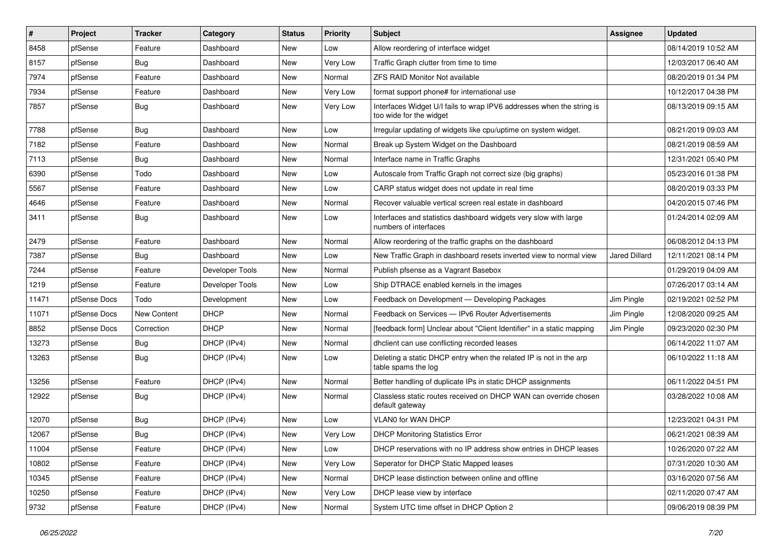| $\vert$ # | Project      | <b>Tracker</b> | Category        | <b>Status</b> | <b>Priority</b> | Subject                                                                                          | Assignee             | <b>Updated</b>      |
|-----------|--------------|----------------|-----------------|---------------|-----------------|--------------------------------------------------------------------------------------------------|----------------------|---------------------|
| 8458      | pfSense      | Feature        | Dashboard       | New           | Low             | Allow reordering of interface widget                                                             |                      | 08/14/2019 10:52 AM |
| 8157      | pfSense      | Bug            | Dashboard       | New           | Very Low        | Traffic Graph clutter from time to time                                                          |                      | 12/03/2017 06:40 AM |
| 7974      | pfSense      | Feature        | Dashboard       | New           | Normal          | <b>ZFS RAID Monitor Not available</b>                                                            |                      | 08/20/2019 01:34 PM |
| 7934      | pfSense      | Feature        | Dashboard       | New           | Very Low        | format support phone# for international use                                                      |                      | 10/12/2017 04:38 PM |
| 7857      | pfSense      | Bug            | Dashboard       | New           | Very Low        | Interfaces Widget U/I fails to wrap IPV6 addresses when the string is<br>too wide for the widget |                      | 08/13/2019 09:15 AM |
| 7788      | pfSense      | Bug            | Dashboard       | New           | Low             | Irregular updating of widgets like cpu/uptime on system widget.                                  |                      | 08/21/2019 09:03 AM |
| 7182      | pfSense      | Feature        | Dashboard       | New           | Normal          | Break up System Widget on the Dashboard                                                          |                      | 08/21/2019 08:59 AM |
| 7113      | pfSense      | <b>Bug</b>     | Dashboard       | New           | Normal          | Interface name in Traffic Graphs                                                                 |                      | 12/31/2021 05:40 PM |
| 6390      | pfSense      | Todo           | Dashboard       | New           | Low             | Autoscale from Traffic Graph not correct size (big graphs)                                       |                      | 05/23/2016 01:38 PM |
| 5567      | pfSense      | Feature        | Dashboard       | New           | Low             | CARP status widget does not update in real time                                                  |                      | 08/20/2019 03:33 PM |
| 4646      | pfSense      | Feature        | Dashboard       | New           | Normal          | Recover valuable vertical screen real estate in dashboard                                        |                      | 04/20/2015 07:46 PM |
| 3411      | pfSense      | Bug            | Dashboard       | New           | Low             | Interfaces and statistics dashboard widgets very slow with large<br>numbers of interfaces        |                      | 01/24/2014 02:09 AM |
| 2479      | pfSense      | Feature        | Dashboard       | New           | Normal          | Allow reordering of the traffic graphs on the dashboard                                          |                      | 06/08/2012 04:13 PM |
| 7387      | pfSense      | <b>Bug</b>     | Dashboard       | <b>New</b>    | Low             | New Traffic Graph in dashboard resets inverted view to normal view                               | <b>Jared Dillard</b> | 12/11/2021 08:14 PM |
| 7244      | pfSense      | Feature        | Developer Tools | New           | Normal          | Publish pfsense as a Vagrant Basebox                                                             |                      | 01/29/2019 04:09 AM |
| 1219      | pfSense      | Feature        | Developer Tools | New           | Low             | Ship DTRACE enabled kernels in the images                                                        |                      | 07/26/2017 03:14 AM |
| 11471     | pfSense Docs | Todo           | Development     | New           | Low             | Feedback on Development - Developing Packages                                                    | Jim Pingle           | 02/19/2021 02:52 PM |
| 11071     | pfSense Docs | New Content    | <b>DHCP</b>     | New           | Normal          | Feedback on Services - IPv6 Router Advertisements                                                | Jim Pingle           | 12/08/2020 09:25 AM |
| 8852      | pfSense Docs | Correction     | <b>DHCP</b>     | New           | Normal          | [feedback form] Unclear about "Client Identifier" in a static mapping                            | Jim Pingle           | 09/23/2020 02:30 PM |
| 13273     | pfSense      | <b>Bug</b>     | DHCP (IPv4)     | New           | Normal          | dhclient can use conflicting recorded leases                                                     |                      | 06/14/2022 11:07 AM |
| 13263     | pfSense      | <b>Bug</b>     | DHCP (IPv4)     | New           | Low             | Deleting a static DHCP entry when the related IP is not in the arp<br>table spams the log        |                      | 06/10/2022 11:18 AM |
| 13256     | pfSense      | Feature        | DHCP (IPv4)     | New           | Normal          | Better handling of duplicate IPs in static DHCP assignments                                      |                      | 06/11/2022 04:51 PM |
| 12922     | pfSense      | <b>Bug</b>     | DHCP (IPv4)     | New           | Normal          | Classless static routes received on DHCP WAN can override chosen<br>default gateway              |                      | 03/28/2022 10:08 AM |
| 12070     | pfSense      | <b>Bug</b>     | DHCP (IPv4)     | New           | Low             | <b>VLANO for WAN DHCP</b>                                                                        |                      | 12/23/2021 04:31 PM |
| 12067     | pfSense      | <b>Bug</b>     | DHCP (IPv4)     | New           | Very Low        | <b>DHCP Monitoring Statistics Error</b>                                                          |                      | 06/21/2021 08:39 AM |
| 11004     | pfSense      | Feature        | DHCP (IPv4)     | New           | Low             | DHCP reservations with no IP address show entries in DHCP leases                                 |                      | 10/26/2020 07:22 AM |
| 10802     | pfSense      | Feature        | DHCP (IPv4)     | New           | Very Low        | Seperator for DHCP Static Mapped leases                                                          |                      | 07/31/2020 10:30 AM |
| 10345     | pfSense      | Feature        | DHCP (IPv4)     | New           | Normal          | DHCP lease distinction between online and offline                                                |                      | 03/16/2020 07:56 AM |
| 10250     | pfSense      | Feature        | DHCP (IPv4)     | New           | Very Low        | DHCP lease view by interface                                                                     |                      | 02/11/2020 07:47 AM |
| 9732      | pfSense      | Feature        | DHCP (IPv4)     | New           | Normal          | System UTC time offset in DHCP Option 2                                                          |                      | 09/06/2019 08:39 PM |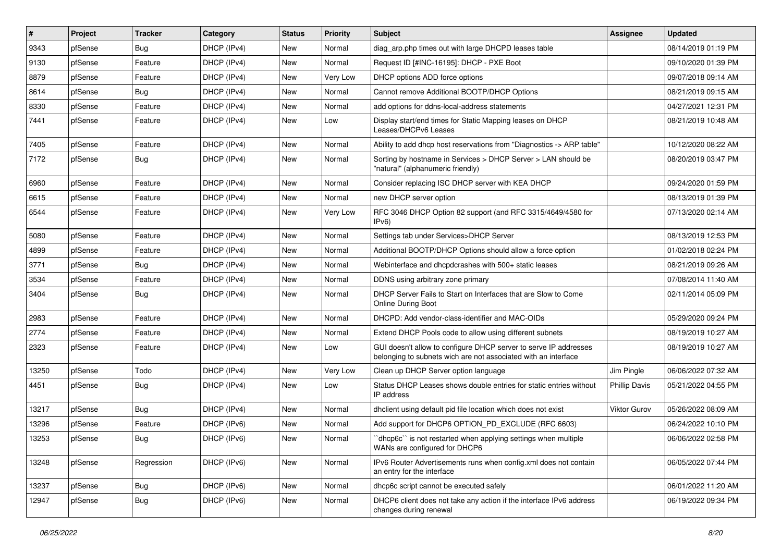| #     | Project | <b>Tracker</b> | Category    | <b>Status</b> | <b>Priority</b> | <b>Subject</b>                                                                                                                     | <b>Assignee</b>      | <b>Updated</b>      |
|-------|---------|----------------|-------------|---------------|-----------------|------------------------------------------------------------------------------------------------------------------------------------|----------------------|---------------------|
| 9343  | pfSense | Bug            | DHCP (IPv4) | New           | Normal          | diag arp.php times out with large DHCPD leases table                                                                               |                      | 08/14/2019 01:19 PM |
| 9130  | pfSense | Feature        | DHCP (IPv4) | New           | Normal          | Request ID [#INC-16195]: DHCP - PXE Boot                                                                                           |                      | 09/10/2020 01:39 PM |
| 8879  | pfSense | Feature        | DHCP (IPv4) | New           | Very Low        | DHCP options ADD force options                                                                                                     |                      | 09/07/2018 09:14 AM |
| 8614  | pfSense | Bug            | DHCP (IPv4) | New           | Normal          | Cannot remove Additional BOOTP/DHCP Options                                                                                        |                      | 08/21/2019 09:15 AM |
| 8330  | pfSense | Feature        | DHCP (IPv4) | New           | Normal          | add options for ddns-local-address statements                                                                                      |                      | 04/27/2021 12:31 PM |
| 7441  | pfSense | Feature        | DHCP (IPv4) | New           | Low             | Display start/end times for Static Mapping leases on DHCP<br>Leases/DHCPv6 Leases                                                  |                      | 08/21/2019 10:48 AM |
| 7405  | pfSense | Feature        | DHCP (IPv4) | New           | Normal          | Ability to add dhcp host reservations from "Diagnostics -> ARP table"                                                              |                      | 10/12/2020 08:22 AM |
| 7172  | pfSense | Bug            | DHCP (IPv4) | New           | Normal          | Sorting by hostname in Services > DHCP Server > LAN should be<br>"natural" (alphanumeric friendly)                                 |                      | 08/20/2019 03:47 PM |
| 6960  | pfSense | Feature        | DHCP (IPv4) | <b>New</b>    | Normal          | Consider replacing ISC DHCP server with KEA DHCP                                                                                   |                      | 09/24/2020 01:59 PM |
| 6615  | pfSense | Feature        | DHCP (IPv4) | New           | Normal          | new DHCP server option                                                                                                             |                      | 08/13/2019 01:39 PM |
| 6544  | pfSense | Feature        | DHCP (IPv4) | New           | Very Low        | RFC 3046 DHCP Option 82 support (and RFC 3315/4649/4580 for<br>IPv6)                                                               |                      | 07/13/2020 02:14 AM |
| 5080  | pfSense | Feature        | DHCP (IPv4) | <b>New</b>    | Normal          | Settings tab under Services>DHCP Server                                                                                            |                      | 08/13/2019 12:53 PM |
| 4899  | pfSense | Feature        | DHCP (IPv4) | New           | Normal          | Additional BOOTP/DHCP Options should allow a force option                                                                          |                      | 01/02/2018 02:24 PM |
| 3771  | pfSense | Bug            | DHCP (IPv4) | New           | Normal          | Webinterface and dhcpdcrashes with 500+ static leases                                                                              |                      | 08/21/2019 09:26 AM |
| 3534  | pfSense | Feature        | DHCP (IPv4) | New           | Normal          | DDNS using arbitrary zone primary                                                                                                  |                      | 07/08/2014 11:40 AM |
| 3404  | pfSense | Bug            | DHCP (IPv4) | New           | Normal          | DHCP Server Fails to Start on Interfaces that are Slow to Come<br><b>Online During Boot</b>                                        |                      | 02/11/2014 05:09 PM |
| 2983  | pfSense | Feature        | DHCP (IPv4) | New           | Normal          | DHCPD: Add vendor-class-identifier and MAC-OIDs                                                                                    |                      | 05/29/2020 09:24 PM |
| 2774  | pfSense | Feature        | DHCP (IPv4) | New           | Normal          | Extend DHCP Pools code to allow using different subnets                                                                            |                      | 08/19/2019 10:27 AM |
| 2323  | pfSense | Feature        | DHCP (IPv4) | New           | Low             | GUI doesn't allow to configure DHCP server to serve IP addresses<br>belonging to subnets wich are not associated with an interface |                      | 08/19/2019 10:27 AM |
| 13250 | pfSense | Todo           | DHCP (IPv4) | New           | Very Low        | Clean up DHCP Server option language                                                                                               | Jim Pingle           | 06/06/2022 07:32 AM |
| 4451  | pfSense | Bug            | DHCP (IPv4) | New           | Low             | Status DHCP Leases shows double entries for static entries without<br>IP address                                                   | <b>Phillip Davis</b> | 05/21/2022 04:55 PM |
| 13217 | pfSense | Bug            | DHCP (IPv4) | New           | Normal          | dhclient using default pid file location which does not exist                                                                      | <b>Viktor Gurov</b>  | 05/26/2022 08:09 AM |
| 13296 | pfSense | Feature        | DHCP (IPv6) | New           | Normal          | Add support for DHCP6 OPTION_PD_EXCLUDE (RFC 6603)                                                                                 |                      | 06/24/2022 10:10 PM |
| 13253 | pfSense | Bug            | DHCP (IPv6) | New           | Normal          | 'dhcp6c' is not restarted when applying settings when multiple<br>WANs are configured for DHCP6                                    |                      | 06/06/2022 02:58 PM |
| 13248 | pfSense | Regression     | DHCP (IPv6) | New           | Normal          | IPv6 Router Advertisements runs when config.xml does not contain<br>an entry for the interface                                     |                      | 06/05/2022 07:44 PM |
| 13237 | pfSense | Bug            | DHCP (IPv6) | New           | Normal          | dhcp6c script cannot be executed safely                                                                                            |                      | 06/01/2022 11:20 AM |
| 12947 | pfSense | <b>Bug</b>     | DHCP (IPv6) | New           | Normal          | DHCP6 client does not take any action if the interface IPv6 address<br>changes during renewal                                      |                      | 06/19/2022 09:34 PM |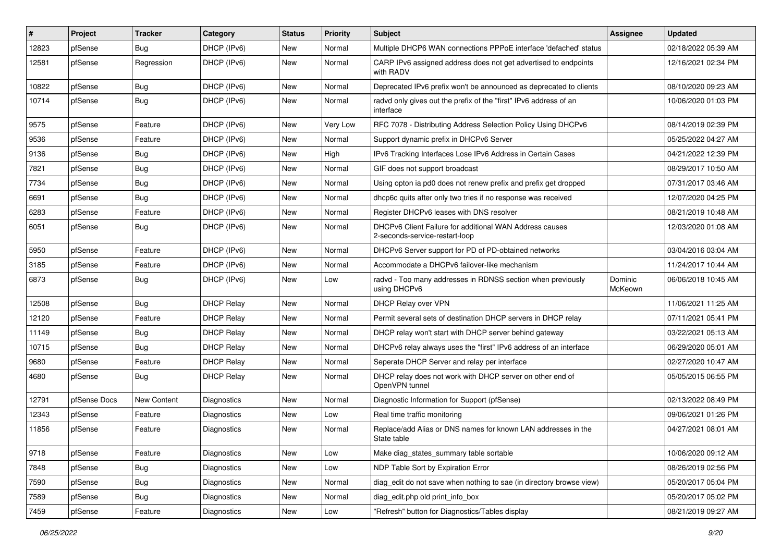| #     | Project      | <b>Tracker</b>     | Category           | <b>Status</b> | <b>Priority</b> | <b>Subject</b>                                                                            | <b>Assignee</b>    | <b>Updated</b>      |
|-------|--------------|--------------------|--------------------|---------------|-----------------|-------------------------------------------------------------------------------------------|--------------------|---------------------|
| 12823 | pfSense      | Bug                | DHCP (IPv6)        | New           | Normal          | Multiple DHCP6 WAN connections PPPoE interface 'defached' status                          |                    | 02/18/2022 05:39 AM |
| 12581 | pfSense      | Regression         | DHCP (IPv6)        | New           | Normal          | CARP IPv6 assigned address does not get advertised to endpoints<br>with RADV              |                    | 12/16/2021 02:34 PM |
| 10822 | pfSense      | Bug                | DHCP (IPv6)        | New           | Normal          | Deprecated IPv6 prefix won't be announced as deprecated to clients                        |                    | 08/10/2020 09:23 AM |
| 10714 | pfSense      | Bug                | DHCP (IPv6)        | New           | Normal          | radvd only gives out the prefix of the "first" IPv6 address of an<br>interface            |                    | 10/06/2020 01:03 PM |
| 9575  | pfSense      | Feature            | DHCP (IPv6)        | New           | Very Low        | RFC 7078 - Distributing Address Selection Policy Using DHCPv6                             |                    | 08/14/2019 02:39 PM |
| 9536  | pfSense      | Feature            | DHCP (IPv6)        | <b>New</b>    | Normal          | Support dynamic prefix in DHCPv6 Server                                                   |                    | 05/25/2022 04:27 AM |
| 9136  | pfSense      | Bug                | DHCP (IPv6)        | New           | High            | IPv6 Tracking Interfaces Lose IPv6 Address in Certain Cases                               |                    | 04/21/2022 12:39 PM |
| 7821  | pfSense      | <b>Bug</b>         | DHCP (IPv6)        | New           | Normal          | GIF does not support broadcast                                                            |                    | 08/29/2017 10:50 AM |
| 7734  | pfSense      | Bug                | DHCP (IPv6)        | New           | Normal          | Using opton ia pd0 does not renew prefix and prefix get dropped                           |                    | 07/31/2017 03:46 AM |
| 6691  | pfSense      | Bug                | DHCP (IPv6)        | New           | Normal          | dhcp6c quits after only two tries if no response was received                             |                    | 12/07/2020 04:25 PM |
| 6283  | pfSense      | Feature            | DHCP (IPv6)        | New           | Normal          | Register DHCPv6 leases with DNS resolver                                                  |                    | 08/21/2019 10:48 AM |
| 6051  | pfSense      | <b>Bug</b>         | DHCP (IPv6)        | New           | Normal          | DHCPv6 Client Failure for additional WAN Address causes<br>2-seconds-service-restart-loop |                    | 12/03/2020 01:08 AM |
| 5950  | pfSense      | Feature            | DHCP (IPv6)        | New           | Normal          | DHCPv6 Server support for PD of PD-obtained networks                                      |                    | 03/04/2016 03:04 AM |
| 3185  | pfSense      | Feature            | DHCP (IPv6)        | New           | Normal          | Accommodate a DHCPv6 failover-like mechanism                                              |                    | 11/24/2017 10:44 AM |
| 6873  | pfSense      | Bug                | DHCP (IPv6)        | New           | Low             | radvd - Too many addresses in RDNSS section when previously<br>using DHCPv6               | Dominic<br>McKeown | 06/06/2018 10:45 AM |
| 12508 | pfSense      | <b>Bug</b>         | <b>DHCP Relay</b>  | <b>New</b>    | Normal          | DHCP Relay over VPN                                                                       |                    | 11/06/2021 11:25 AM |
| 12120 | pfSense      | Feature            | <b>DHCP Relay</b>  | New           | Normal          | Permit several sets of destination DHCP servers in DHCP relay                             |                    | 07/11/2021 05:41 PM |
| 11149 | pfSense      | <b>Bug</b>         | <b>DHCP Relay</b>  | New           | Normal          | DHCP relay won't start with DHCP server behind gateway                                    |                    | 03/22/2021 05:13 AM |
| 10715 | pfSense      | Bug                | <b>DHCP Relay</b>  | New           | Normal          | DHCPv6 relay always uses the "first" IPv6 address of an interface                         |                    | 06/29/2020 05:01 AM |
| 9680  | pfSense      | Feature            | <b>DHCP Relay</b>  | New           | Normal          | Seperate DHCP Server and relay per interface                                              |                    | 02/27/2020 10:47 AM |
| 4680  | pfSense      | Bug                | <b>DHCP Relay</b>  | New           | Normal          | DHCP relay does not work with DHCP server on other end of<br>OpenVPN tunnel               |                    | 05/05/2015 06:55 PM |
| 12791 | pfSense Docs | <b>New Content</b> | Diagnostics        | New           | Normal          | Diagnostic Information for Support (pfSense)                                              |                    | 02/13/2022 08:49 PM |
| 12343 | pfSense      | Feature            | Diagnostics        | New           | Low             | Real time traffic monitoring                                                              |                    | 09/06/2021 01:26 PM |
| 11856 | pfSense      | Feature            | <b>Diagnostics</b> | New           | Normal          | Replace/add Alias or DNS names for known LAN addresses in the<br>State table              |                    | 04/27/2021 08:01 AM |
| 9718  | pfSense      | Feature            | Diagnostics        | New           | Low             | Make diag states summary table sortable                                                   |                    | 10/06/2020 09:12 AM |
| 7848  | pfSense      | <b>Bug</b>         | Diagnostics        | New           | Low             | NDP Table Sort by Expiration Error                                                        |                    | 08/26/2019 02:56 PM |
| 7590  | pfSense      | <b>Bug</b>         | Diagnostics        | New           | Normal          | diag_edit do not save when nothing to sae (in directory browse view)                      |                    | 05/20/2017 05:04 PM |
| 7589  | pfSense      | Bug                | Diagnostics        | New           | Normal          | diag edit.php old print info box                                                          |                    | 05/20/2017 05:02 PM |
| 7459  | pfSense      | Feature            | Diagnostics        | New           | Low             | "Refresh" button for Diagnostics/Tables display                                           |                    | 08/21/2019 09:27 AM |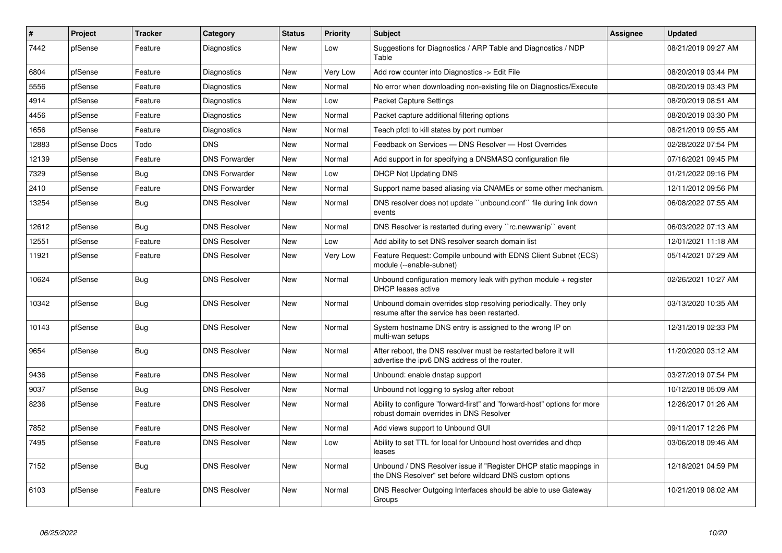| $\#$  | Project      | <b>Tracker</b> | Category             | <b>Status</b> | Priority        | <b>Subject</b>                                                                                                                | Assignee | <b>Updated</b>      |
|-------|--------------|----------------|----------------------|---------------|-----------------|-------------------------------------------------------------------------------------------------------------------------------|----------|---------------------|
| 7442  | pfSense      | Feature        | Diagnostics          | <b>New</b>    | Low             | Suggestions for Diagnostics / ARP Table and Diagnostics / NDP<br>Table                                                        |          | 08/21/2019 09:27 AM |
| 6804  | pfSense      | Feature        | Diagnostics          | New           | <b>Very Low</b> | Add row counter into Diagnostics -> Edit File                                                                                 |          | 08/20/2019 03:44 PM |
| 5556  | pfSense      | Feature        | Diagnostics          | <b>New</b>    | Normal          | No error when downloading non-existing file on Diagnostics/Execute                                                            |          | 08/20/2019 03:43 PM |
| 4914  | pfSense      | Feature        | Diagnostics          | <b>New</b>    | Low             | Packet Capture Settings                                                                                                       |          | 08/20/2019 08:51 AM |
| 4456  | pfSense      | Feature        | Diagnostics          | <b>New</b>    | Normal          | Packet capture additional filtering options                                                                                   |          | 08/20/2019 03:30 PM |
| 1656  | pfSense      | Feature        | <b>Diagnostics</b>   | New           | Normal          | Teach pfctl to kill states by port number                                                                                     |          | 08/21/2019 09:55 AM |
| 12883 | pfSense Docs | Todo           | <b>DNS</b>           | <b>New</b>    | Normal          | Feedback on Services - DNS Resolver - Host Overrides                                                                          |          | 02/28/2022 07:54 PM |
| 12139 | pfSense      | Feature        | <b>DNS Forwarder</b> | <b>New</b>    | Normal          | Add support in for specifying a DNSMASQ configuration file                                                                    |          | 07/16/2021 09:45 PM |
| 7329  | pfSense      | Bug            | <b>DNS Forwarder</b> | <b>New</b>    | Low             | <b>DHCP Not Updating DNS</b>                                                                                                  |          | 01/21/2022 09:16 PM |
| 2410  | pfSense      | Feature        | <b>DNS Forwarder</b> | New           | Normal          | Support name based aliasing via CNAMEs or some other mechanism.                                                               |          | 12/11/2012 09:56 PM |
| 13254 | pfSense      | Bug            | <b>DNS Resolver</b>  | New           | Normal          | DNS resolver does not update "unbound.conf" file during link down<br>events                                                   |          | 06/08/2022 07:55 AM |
| 12612 | pfSense      | Bug            | <b>DNS Resolver</b>  | <b>New</b>    | Normal          | DNS Resolver is restarted during every "rc.newwanip" event                                                                    |          | 06/03/2022 07:13 AM |
| 12551 | pfSense      | Feature        | <b>DNS Resolver</b>  | <b>New</b>    | Low             | Add ability to set DNS resolver search domain list                                                                            |          | 12/01/2021 11:18 AM |
| 11921 | pfSense      | Feature        | <b>DNS Resolver</b>  | New           | Very Low        | Feature Request: Compile unbound with EDNS Client Subnet (ECS)<br>module (--enable-subnet)                                    |          | 05/14/2021 07:29 AM |
| 10624 | pfSense      | Bug            | <b>DNS Resolver</b>  | New           | Normal          | Unbound configuration memory leak with python module $+$ register<br><b>DHCP</b> leases active                                |          | 02/26/2021 10:27 AM |
| 10342 | pfSense      | <b>Bug</b>     | <b>DNS Resolver</b>  | <b>New</b>    | Normal          | Unbound domain overrides stop resolving periodically. They only<br>resume after the service has been restarted.               |          | 03/13/2020 10:35 AM |
| 10143 | pfSense      | <b>Bug</b>     | <b>DNS Resolver</b>  | <b>New</b>    | Normal          | System hostname DNS entry is assigned to the wrong IP on<br>multi-wan setups                                                  |          | 12/31/2019 02:33 PM |
| 9654  | pfSense      | <b>Bug</b>     | <b>DNS Resolver</b>  | New           | Normal          | After reboot, the DNS resolver must be restarted before it will<br>advertise the ipv6 DNS address of the router.              |          | 11/20/2020 03:12 AM |
| 9436  | pfSense      | Feature        | <b>DNS Resolver</b>  | New           | Normal          | Unbound: enable dnstap support                                                                                                |          | 03/27/2019 07:54 PM |
| 9037  | pfSense      | Bug            | <b>DNS Resolver</b>  | <b>New</b>    | Normal          | Unbound not logging to syslog after reboot                                                                                    |          | 10/12/2018 05:09 AM |
| 8236  | pfSense      | Feature        | <b>DNS Resolver</b>  | New           | Normal          | Ability to configure "forward-first" and "forward-host" options for more<br>robust domain overrides in DNS Resolver           |          | 12/26/2017 01:26 AM |
| 7852  | pfSense      | Feature        | <b>DNS Resolver</b>  | New           | Normal          | Add views support to Unbound GUI                                                                                              |          | 09/11/2017 12:26 PM |
| 7495  | pfSense      | Feature        | <b>DNS Resolver</b>  | New           | Low             | Ability to set TTL for local for Unbound host overrides and dhcp<br>leases                                                    |          | 03/06/2018 09:46 AM |
| 7152  | pfSense      | Bug            | <b>DNS Resolver</b>  | New           | Normal          | Unbound / DNS Resolver issue if "Register DHCP static mappings in<br>the DNS Resolver" set before wildcard DNS custom options |          | 12/18/2021 04:59 PM |
| 6103  | pfSense      | Feature        | <b>DNS Resolver</b>  | New           | Normal          | DNS Resolver Outgoing Interfaces should be able to use Gateway<br>Groups                                                      |          | 10/21/2019 08:02 AM |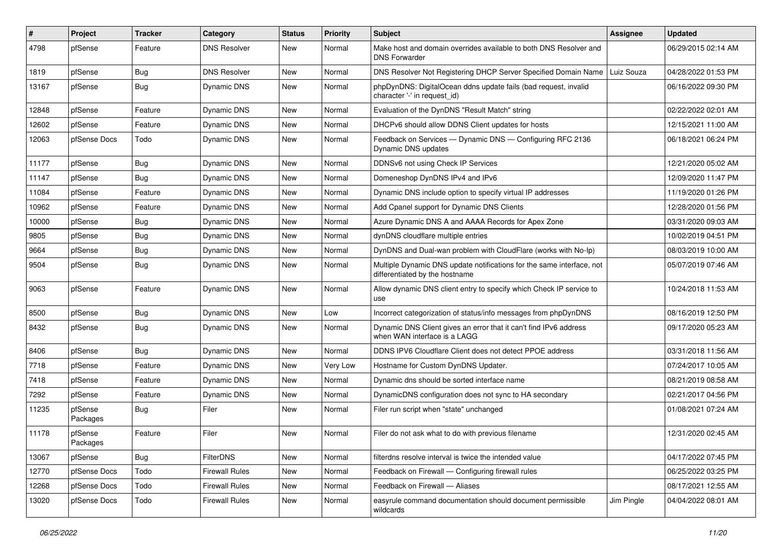| $\pmb{\sharp}$ | Project             | <b>Tracker</b> | Category              | <b>Status</b> | <b>Priority</b> | Subject                                                                                                 | <b>Assignee</b> | <b>Updated</b>      |
|----------------|---------------------|----------------|-----------------------|---------------|-----------------|---------------------------------------------------------------------------------------------------------|-----------------|---------------------|
| 4798           | pfSense             | Feature        | <b>DNS Resolver</b>   | New           | Normal          | Make host and domain overrides available to both DNS Resolver and<br><b>DNS Forwarder</b>               |                 | 06/29/2015 02:14 AM |
| 1819           | pfSense             | Bug            | <b>DNS Resolver</b>   | New           | Normal          | DNS Resolver Not Registering DHCP Server Specified Domain Name                                          | Luiz Souza      | 04/28/2022 01:53 PM |
| 13167          | pfSense             | <b>Bug</b>     | Dynamic DNS           | New           | Normal          | phpDynDNS: DigitalOcean ddns update fails (bad request, invalid<br>character '-' in request_id)         |                 | 06/16/2022 09:30 PM |
| 12848          | pfSense             | Feature        | Dynamic DNS           | New           | Normal          | Evaluation of the DynDNS "Result Match" string                                                          |                 | 02/22/2022 02:01 AM |
| 12602          | pfSense             | Feature        | Dynamic DNS           | New           | Normal          | DHCPv6 should allow DDNS Client updates for hosts                                                       |                 | 12/15/2021 11:00 AM |
| 12063          | pfSense Docs        | Todo           | Dynamic DNS           | New           | Normal          | Feedback on Services - Dynamic DNS - Configuring RFC 2136<br>Dynamic DNS updates                        |                 | 06/18/2021 06:24 PM |
| 11177          | pfSense             | <b>Bug</b>     | Dynamic DNS           | New           | Normal          | DDNSv6 not using Check IP Services                                                                      |                 | 12/21/2020 05:02 AM |
| 11147          | pfSense             | Bug            | Dynamic DNS           | New           | Normal          | Domeneshop DynDNS IPv4 and IPv6                                                                         |                 | 12/09/2020 11:47 PM |
| 11084          | pfSense             | Feature        | Dynamic DNS           | New           | Normal          | Dynamic DNS include option to specify virtual IP addresses                                              |                 | 11/19/2020 01:26 PM |
| 10962          | pfSense             | Feature        | Dynamic DNS           | New           | Normal          | Add Cpanel support for Dynamic DNS Clients                                                              |                 | 12/28/2020 01:56 PM |
| 10000          | pfSense             | Bug            | Dynamic DNS           | New           | Normal          | Azure Dynamic DNS A and AAAA Records for Apex Zone                                                      |                 | 03/31/2020 09:03 AM |
| 9805           | pfSense             | <b>Bug</b>     | Dynamic DNS           | New           | Normal          | dynDNS cloudflare multiple entries                                                                      |                 | 10/02/2019 04:51 PM |
| 9664           | pfSense             | <b>Bug</b>     | Dynamic DNS           | New           | Normal          | DynDNS and Dual-wan problem with CloudFlare (works with No-Ip)                                          |                 | 08/03/2019 10:00 AM |
| 9504           | pfSense             | <b>Bug</b>     | Dynamic DNS           | New           | Normal          | Multiple Dynamic DNS update notifications for the same interface, not<br>differentiated by the hostname |                 | 05/07/2019 07:46 AM |
| 9063           | pfSense             | Feature        | Dynamic DNS           | New           | Normal          | Allow dynamic DNS client entry to specify which Check IP service to<br>use                              |                 | 10/24/2018 11:53 AM |
| 8500           | pfSense             | <b>Bug</b>     | Dynamic DNS           | New           | Low             | Incorrect categorization of status/info messages from phpDynDNS                                         |                 | 08/16/2019 12:50 PM |
| 8432           | pfSense             | Bug            | Dynamic DNS           | New           | Normal          | Dynamic DNS Client gives an error that it can't find IPv6 address<br>when WAN interface is a LAGG       |                 | 09/17/2020 05:23 AM |
| 8406           | pfSense             | <b>Bug</b>     | Dynamic DNS           | <b>New</b>    | Normal          | DDNS IPV6 Cloudflare Client does not detect PPOE address                                                |                 | 03/31/2018 11:56 AM |
| 7718           | pfSense             | Feature        | Dynamic DNS           | New           | Very Low        | Hostname for Custom DynDNS Updater.                                                                     |                 | 07/24/2017 10:05 AM |
| 7418           | pfSense             | Feature        | Dynamic DNS           | New           | Normal          | Dynamic dns should be sorted interface name                                                             |                 | 08/21/2019 08:58 AM |
| 7292           | pfSense             | Feature        | Dynamic DNS           | New           | Normal          | DynamicDNS configuration does not sync to HA secondary                                                  |                 | 02/21/2017 04:56 PM |
| 11235          | pfSense<br>Packages | Bug            | Filer                 | New           | Normal          | Filer run script when "state" unchanged                                                                 |                 | 01/08/2021 07:24 AM |
| 11178          | pfSense<br>Packages | Feature        | Filer                 | New           | Normal          | Filer do not ask what to do with previous filename                                                      |                 | 12/31/2020 02:45 AM |
| 13067          | pfSense             | <b>Bug</b>     | FilterDNS             | <b>New</b>    | Normal          | filterdns resolve interval is twice the intended value                                                  |                 | 04/17/2022 07:45 PM |
| 12770          | pfSense Docs        | Todo           | <b>Firewall Rules</b> | New           | Normal          | Feedback on Firewall - Configuring firewall rules                                                       |                 | 06/25/2022 03:25 PM |
| 12268          | pfSense Docs        | Todo           | <b>Firewall Rules</b> | New           | Normal          | Feedback on Firewall - Aliases                                                                          |                 | 08/17/2021 12:55 AM |
| 13020          | pfSense Docs        | Todo           | <b>Firewall Rules</b> | New           | Normal          | easyrule command documentation should document permissible<br>wildcards                                 | Jim Pingle      | 04/04/2022 08:01 AM |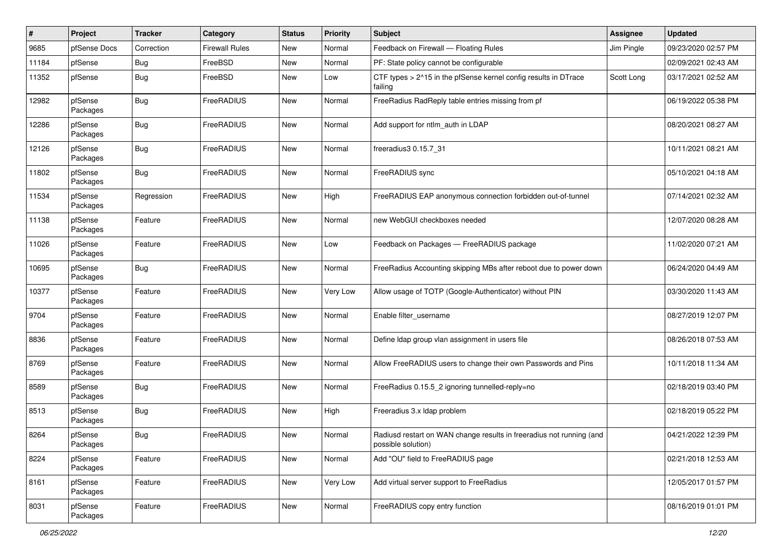| $\#$  | Project             | <b>Tracker</b> | Category              | <b>Status</b> | <b>Priority</b> | <b>Subject</b>                                                                             | <b>Assignee</b> | <b>Updated</b>      |
|-------|---------------------|----------------|-----------------------|---------------|-----------------|--------------------------------------------------------------------------------------------|-----------------|---------------------|
| 9685  | pfSense Docs        | Correction     | <b>Firewall Rules</b> | New           | Normal          | Feedback on Firewall - Floating Rules                                                      | Jim Pingle      | 09/23/2020 02:57 PM |
| 11184 | pfSense             | <b>Bug</b>     | FreeBSD               | <b>New</b>    | Normal          | PF: State policy cannot be configurable                                                    |                 | 02/09/2021 02:43 AM |
| 11352 | pfSense             | <b>Bug</b>     | FreeBSD               | New           | Low             | CTF types > 2^15 in the pfSense kernel config results in DTrace<br>failing                 | Scott Long      | 03/17/2021 02:52 AM |
| 12982 | pfSense<br>Packages | <b>Bug</b>     | FreeRADIUS            | New           | Normal          | FreeRadius RadReply table entries missing from pf                                          |                 | 06/19/2022 05:38 PM |
| 12286 | pfSense<br>Packages | <b>Bug</b>     | FreeRADIUS            | New           | Normal          | Add support for ntlm auth in LDAP                                                          |                 | 08/20/2021 08:27 AM |
| 12126 | pfSense<br>Packages | Bug            | FreeRADIUS            | New           | Normal          | freeradius3 0.15.7_31                                                                      |                 | 10/11/2021 08:21 AM |
| 11802 | pfSense<br>Packages | Bug            | FreeRADIUS            | New           | Normal          | FreeRADIUS sync                                                                            |                 | 05/10/2021 04:18 AM |
| 11534 | pfSense<br>Packages | Regression     | FreeRADIUS            | New           | High            | FreeRADIUS EAP anonymous connection forbidden out-of-tunnel                                |                 | 07/14/2021 02:32 AM |
| 11138 | pfSense<br>Packages | Feature        | FreeRADIUS            | New           | Normal          | new WebGUI checkboxes needed                                                               |                 | 12/07/2020 08:28 AM |
| 11026 | pfSense<br>Packages | Feature        | FreeRADIUS            | New           | Low             | Feedback on Packages - FreeRADIUS package                                                  |                 | 11/02/2020 07:21 AM |
| 10695 | pfSense<br>Packages | <b>Bug</b>     | FreeRADIUS            | New           | Normal          | FreeRadius Accounting skipping MBs after reboot due to power down                          |                 | 06/24/2020 04:49 AM |
| 10377 | pfSense<br>Packages | Feature        | FreeRADIUS            | New           | Very Low        | Allow usage of TOTP (Google-Authenticator) without PIN                                     |                 | 03/30/2020 11:43 AM |
| 9704  | pfSense<br>Packages | Feature        | FreeRADIUS            | New           | Normal          | Enable filter username                                                                     |                 | 08/27/2019 12:07 PM |
| 8836  | pfSense<br>Packages | Feature        | FreeRADIUS            | New           | Normal          | Define Idap group vlan assignment in users file                                            |                 | 08/26/2018 07:53 AM |
| 8769  | pfSense<br>Packages | Feature        | FreeRADIUS            | New           | Normal          | Allow FreeRADIUS users to change their own Passwords and Pins                              |                 | 10/11/2018 11:34 AM |
| 8589  | pfSense<br>Packages | <b>Bug</b>     | FreeRADIUS            | New           | Normal          | FreeRadius 0.15.5_2 ignoring tunnelled-reply=no                                            |                 | 02/18/2019 03:40 PM |
| 8513  | pfSense<br>Packages | <b>Bug</b>     | FreeRADIUS            | New           | High            | Freeradius 3.x Idap problem                                                                |                 | 02/18/2019 05:22 PM |
| 8264  | pfSense<br>Packages | <b>Bug</b>     | FreeRADIUS            | New           | Normal          | Radiusd restart on WAN change results in freeradius not running (and<br>possible solution) |                 | 04/21/2022 12:39 PM |
| 8224  | pfSense<br>Packages | Feature        | FreeRADIUS            | New           | Normal          | Add "OU" field to FreeRADIUS page                                                          |                 | 02/21/2018 12:53 AM |
| 8161  | pfSense<br>Packages | Feature        | FreeRADIUS            | New           | Very Low        | Add virtual server support to FreeRadius                                                   |                 | 12/05/2017 01:57 PM |
| 8031  | pfSense<br>Packages | Feature        | FreeRADIUS            | New           | Normal          | FreeRADIUS copy entry function                                                             |                 | 08/16/2019 01:01 PM |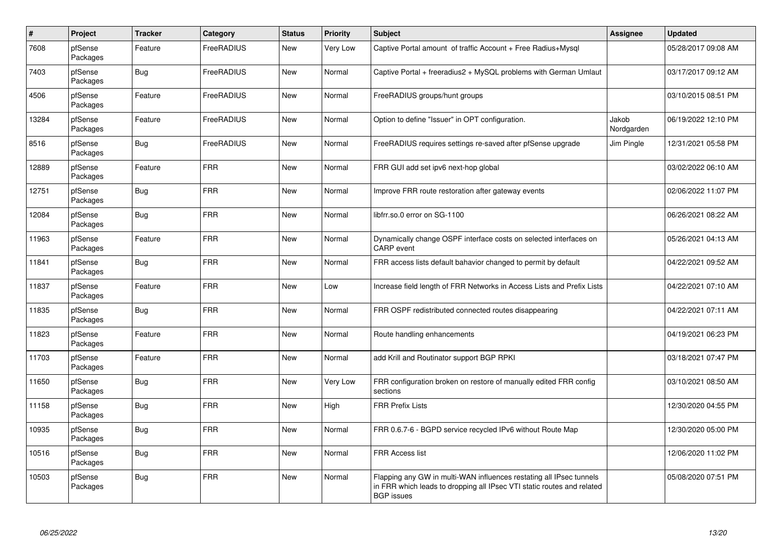| $\pmb{\#}$ | Project             | <b>Tracker</b> | Category   | <b>Status</b> | <b>Priority</b> | <b>Subject</b>                                                                                                                                                     | <b>Assignee</b>     | <b>Updated</b>      |
|------------|---------------------|----------------|------------|---------------|-----------------|--------------------------------------------------------------------------------------------------------------------------------------------------------------------|---------------------|---------------------|
| 7608       | pfSense<br>Packages | Feature        | FreeRADIUS | New           | <b>Very Low</b> | Captive Portal amount of traffic Account + Free Radius+Mysql                                                                                                       |                     | 05/28/2017 09:08 AM |
| 7403       | pfSense<br>Packages | Bug            | FreeRADIUS | <b>New</b>    | Normal          | Captive Portal + freeradius2 + MySQL problems with German Umlaut                                                                                                   |                     | 03/17/2017 09:12 AM |
| 4506       | pfSense<br>Packages | Feature        | FreeRADIUS | <b>New</b>    | Normal          | FreeRADIUS groups/hunt groups                                                                                                                                      |                     | 03/10/2015 08:51 PM |
| 13284      | pfSense<br>Packages | Feature        | FreeRADIUS | <b>New</b>    | Normal          | Option to define "Issuer" in OPT configuration.                                                                                                                    | Jakob<br>Nordgarden | 06/19/2022 12:10 PM |
| 8516       | pfSense<br>Packages | <b>Bug</b>     | FreeRADIUS | <b>New</b>    | Normal          | FreeRADIUS requires settings re-saved after pfSense upgrade                                                                                                        | Jim Pingle          | 12/31/2021 05:58 PM |
| 12889      | pfSense<br>Packages | Feature        | <b>FRR</b> | <b>New</b>    | Normal          | FRR GUI add set ipv6 next-hop global                                                                                                                               |                     | 03/02/2022 06:10 AM |
| 12751      | pfSense<br>Packages | <b>Bug</b>     | <b>FRR</b> | <b>New</b>    | Normal          | Improve FRR route restoration after gateway events                                                                                                                 |                     | 02/06/2022 11:07 PM |
| 12084      | pfSense<br>Packages | Bug            | <b>FRR</b> | <b>New</b>    | Normal          | libfrr.so.0 error on SG-1100                                                                                                                                       |                     | 06/26/2021 08:22 AM |
| 11963      | pfSense<br>Packages | Feature        | <b>FRR</b> | <b>New</b>    | Normal          | Dynamically change OSPF interface costs on selected interfaces on<br><b>CARP</b> event                                                                             |                     | 05/26/2021 04:13 AM |
| 11841      | pfSense<br>Packages | Bug            | <b>FRR</b> | <b>New</b>    | Normal          | FRR access lists default bahavior changed to permit by default                                                                                                     |                     | 04/22/2021 09:52 AM |
| 11837      | pfSense<br>Packages | Feature        | <b>FRR</b> | <b>New</b>    | Low             | Increase field length of FRR Networks in Access Lists and Prefix Lists                                                                                             |                     | 04/22/2021 07:10 AM |
| 11835      | pfSense<br>Packages | Bug            | <b>FRR</b> | <b>New</b>    | Normal          | FRR OSPF redistributed connected routes disappearing                                                                                                               |                     | 04/22/2021 07:11 AM |
| 11823      | pfSense<br>Packages | Feature        | <b>FRR</b> | <b>New</b>    | Normal          | Route handling enhancements                                                                                                                                        |                     | 04/19/2021 06:23 PM |
| 11703      | pfSense<br>Packages | Feature        | <b>FRR</b> | New           | Normal          | add Krill and Routinator support BGP RPKI                                                                                                                          |                     | 03/18/2021 07:47 PM |
| 11650      | pfSense<br>Packages | <b>Bug</b>     | <b>FRR</b> | New           | Very Low        | FRR configuration broken on restore of manually edited FRR config<br>sections                                                                                      |                     | 03/10/2021 08:50 AM |
| 11158      | pfSense<br>Packages | <b>Bug</b>     | <b>FRR</b> | <b>New</b>    | High            | <b>FRR Prefix Lists</b>                                                                                                                                            |                     | 12/30/2020 04:55 PM |
| 10935      | pfSense<br>Packages | Bug            | <b>FRR</b> | <b>New</b>    | Normal          | FRR 0.6.7-6 - BGPD service recycled IPv6 without Route Map                                                                                                         |                     | 12/30/2020 05:00 PM |
| 10516      | pfSense<br>Packages | Bug            | <b>FRR</b> | New           | Normal          | <b>FRR Access list</b>                                                                                                                                             |                     | 12/06/2020 11:02 PM |
| 10503      | pfSense<br>Packages | <b>Bug</b>     | <b>FRR</b> | <b>New</b>    | Normal          | Flapping any GW in multi-WAN influences restating all IPsec tunnels<br>in FRR which leads to dropping all IPsec VTI static routes and related<br><b>BGP</b> issues |                     | 05/08/2020 07:51 PM |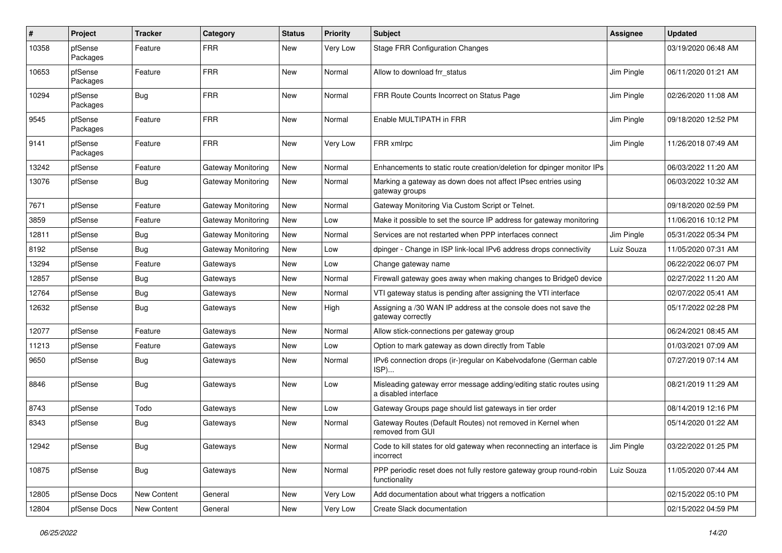| ∦     | Project             | <b>Tracker</b> | Category           | <b>Status</b> | <b>Priority</b> | Subject                                                                                     | Assignee   | <b>Updated</b>      |
|-------|---------------------|----------------|--------------------|---------------|-----------------|---------------------------------------------------------------------------------------------|------------|---------------------|
| 10358 | pfSense<br>Packages | Feature        | <b>FRR</b>         | New           | Very Low        | <b>Stage FRR Configuration Changes</b>                                                      |            | 03/19/2020 06:48 AM |
| 10653 | pfSense<br>Packages | Feature        | <b>FRR</b>         | New           | Normal          | Allow to download frr_status                                                                | Jim Pingle | 06/11/2020 01:21 AM |
| 10294 | pfSense<br>Packages | <b>Bug</b>     | <b>FRR</b>         | <b>New</b>    | Normal          | FRR Route Counts Incorrect on Status Page                                                   | Jim Pingle | 02/26/2020 11:08 AM |
| 9545  | pfSense<br>Packages | Feature        | <b>FRR</b>         | New           | Normal          | Enable MULTIPATH in FRR                                                                     | Jim Pingle | 09/18/2020 12:52 PM |
| 9141  | pfSense<br>Packages | Feature        | <b>FRR</b>         | <b>New</b>    | Very Low        | FRR xmlrpc                                                                                  | Jim Pingle | 11/26/2018 07:49 AM |
| 13242 | pfSense             | Feature        | Gateway Monitoring | New           | Normal          | Enhancements to static route creation/deletion for dpinger monitor IPs                      |            | 06/03/2022 11:20 AM |
| 13076 | pfSense             | Bug            | Gateway Monitoring | New           | Normal          | Marking a gateway as down does not affect IPsec entries using<br>gateway groups             |            | 06/03/2022 10:32 AM |
| 7671  | pfSense             | Feature        | Gateway Monitoring | New           | Normal          | Gateway Monitoring Via Custom Script or Telnet.                                             |            | 09/18/2020 02:59 PM |
| 3859  | pfSense             | Feature        | Gateway Monitoring | New           | Low             | Make it possible to set the source IP address for gateway monitoring                        |            | 11/06/2016 10:12 PM |
| 12811 | pfSense             | Bug            | Gateway Monitoring | <b>New</b>    | Normal          | Services are not restarted when PPP interfaces connect                                      | Jim Pingle | 05/31/2022 05:34 PM |
| 8192  | pfSense             | Bug            | Gateway Monitoring | New           | Low             | dpinger - Change in ISP link-local IPv6 address drops connectivity                          | Luiz Souza | 11/05/2020 07:31 AM |
| 13294 | pfSense             | Feature        | Gateways           | New           | Low             | Change gateway name                                                                         |            | 06/22/2022 06:07 PM |
| 12857 | pfSense             | <b>Bug</b>     | Gateways           | New           | Normal          | Firewall gateway goes away when making changes to Bridge0 device                            |            | 02/27/2022 11:20 AM |
| 12764 | pfSense             | <b>Bug</b>     | Gateways           | New           | Normal          | VTI gateway status is pending after assigning the VTI interface                             |            | 02/07/2022 05:41 AM |
| 12632 | pfSense             | Bug            | Gateways           | New           | High            | Assigning a /30 WAN IP address at the console does not save the<br>gateway correctly        |            | 05/17/2022 02:28 PM |
| 12077 | pfSense             | Feature        | Gateways           | <b>New</b>    | Normal          | Allow stick-connections per gateway group                                                   |            | 06/24/2021 08:45 AM |
| 11213 | pfSense             | Feature        | Gateways           | New           | Low             | Option to mark gateway as down directly from Table                                          |            | 01/03/2021 07:09 AM |
| 9650  | pfSense             | Bug            | Gateways           | New           | Normal          | IPv6 connection drops (ir-)regular on Kabelvodafone (German cable<br>ISP)                   |            | 07/27/2019 07:14 AM |
| 8846  | pfSense             | Bug            | Gateways           | New           | Low             | Misleading gateway error message adding/editing static routes using<br>a disabled interface |            | 08/21/2019 11:29 AM |
| 8743  | pfSense             | Todo           | Gateways           | New           | Low             | Gateway Groups page should list gateways in tier order                                      |            | 08/14/2019 12:16 PM |
| 8343  | pfSense             | Bug            | Gateways           | New           | Normal          | Gateway Routes (Default Routes) not removed in Kernel when<br>removed from GUI              |            | 05/14/2020 01:22 AM |
| 12942 | pfSense             | <b>Bug</b>     | Gateways           | New           | Normal          | Code to kill states for old gateway when reconnecting an interface is<br>incorrect          | Jim Pingle | 03/22/2022 01:25 PM |
| 10875 | pfSense             | Bug            | Gateways           | New           | Normal          | PPP periodic reset does not fully restore gateway group round-robin<br>functionality        | Luiz Souza | 11/05/2020 07:44 AM |
| 12805 | pfSense Docs        | New Content    | General            | New           | Very Low        | Add documentation about what triggers a notfication                                         |            | 02/15/2022 05:10 PM |
| 12804 | pfSense Docs        | New Content    | General            | New           | Very Low        | Create Slack documentation                                                                  |            | 02/15/2022 04:59 PM |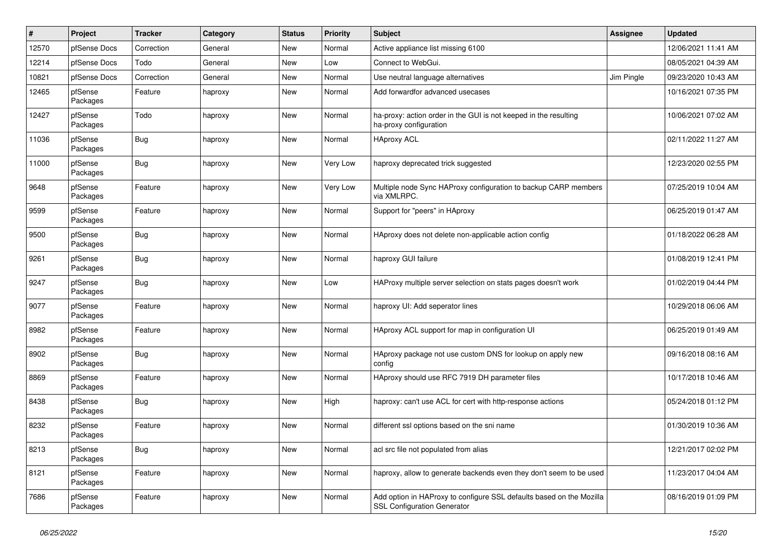| #     | Project             | <b>Tracker</b> | Category | <b>Status</b> | <b>Priority</b> | <b>Subject</b>                                                                                             | <b>Assignee</b> | <b>Updated</b>      |
|-------|---------------------|----------------|----------|---------------|-----------------|------------------------------------------------------------------------------------------------------------|-----------------|---------------------|
| 12570 | pfSense Docs        | Correction     | General  | New           | Normal          | Active appliance list missing 6100                                                                         |                 | 12/06/2021 11:41 AM |
| 12214 | pfSense Docs        | Todo           | General  | New           | Low             | Connect to WebGui.                                                                                         |                 | 08/05/2021 04:39 AM |
| 10821 | pfSense Docs        | Correction     | General  | New           | Normal          | Use neutral language alternatives                                                                          | Jim Pingle      | 09/23/2020 10:43 AM |
| 12465 | pfSense<br>Packages | Feature        | haproxy  | New           | Normal          | Add forwardfor advanced usecases                                                                           |                 | 10/16/2021 07:35 PM |
| 12427 | pfSense<br>Packages | Todo           | haproxy  | New           | Normal          | ha-proxy: action order in the GUI is not keeped in the resulting<br>ha-proxy configuration                 |                 | 10/06/2021 07:02 AM |
| 11036 | pfSense<br>Packages | Bug            | haproxy  | New           | Normal          | <b>HAproxy ACL</b>                                                                                         |                 | 02/11/2022 11:27 AM |
| 11000 | pfSense<br>Packages | <b>Bug</b>     | haproxy  | New           | Very Low        | haproxy deprecated trick suggested                                                                         |                 | 12/23/2020 02:55 PM |
| 9648  | pfSense<br>Packages | Feature        | haproxy  | New           | Very Low        | Multiple node Sync HAProxy configuration to backup CARP members<br>via XMLRPC.                             |                 | 07/25/2019 10:04 AM |
| 9599  | pfSense<br>Packages | Feature        | haproxy  | <b>New</b>    | Normal          | Support for "peers" in HAproxy                                                                             |                 | 06/25/2019 01:47 AM |
| 9500  | pfSense<br>Packages | Bug            | haproxy  | New           | Normal          | HAproxy does not delete non-applicable action config                                                       |                 | 01/18/2022 06:28 AM |
| 9261  | pfSense<br>Packages | Bug            | haproxy  | New           | Normal          | haproxy GUI failure                                                                                        |                 | 01/08/2019 12:41 PM |
| 9247  | pfSense<br>Packages | Bug            | haproxy  | New           | Low             | HAProxy multiple server selection on stats pages doesn't work                                              |                 | 01/02/2019 04:44 PM |
| 9077  | pfSense<br>Packages | Feature        | haproxy  | New           | Normal          | haproxy UI: Add seperator lines                                                                            |                 | 10/29/2018 06:06 AM |
| 8982  | pfSense<br>Packages | Feature        | haproxy  | New           | Normal          | HAproxy ACL support for map in configuration UI                                                            |                 | 06/25/2019 01:49 AM |
| 8902  | pfSense<br>Packages | Bug            | haproxy  | <b>New</b>    | Normal          | HAproxy package not use custom DNS for lookup on apply new<br>config                                       |                 | 09/16/2018 08:16 AM |
| 8869  | pfSense<br>Packages | Feature        | haproxy  | New           | Normal          | HAproxy should use RFC 7919 DH parameter files                                                             |                 | 10/17/2018 10:46 AM |
| 8438  | pfSense<br>Packages | <b>Bug</b>     | haproxy  | New           | High            | haproxy: can't use ACL for cert with http-response actions                                                 |                 | 05/24/2018 01:12 PM |
| 8232  | pfSense<br>Packages | Feature        | haproxy  | <b>New</b>    | Normal          | different ssl options based on the sni name                                                                |                 | 01/30/2019 10:36 AM |
| 8213  | pfSense<br>Packages | Bug            | haproxy  | New           | Normal          | acl src file not populated from alias                                                                      |                 | 12/21/2017 02:02 PM |
| 8121  | pfSense<br>Packages | Feature        | haproxy  | New           | Normal          | haproxy, allow to generate backends even they don't seem to be used                                        |                 | 11/23/2017 04:04 AM |
| 7686  | pfSense<br>Packages | Feature        | haproxy  | New           | Normal          | Add option in HAProxy to configure SSL defaults based on the Mozilla<br><b>SSL Configuration Generator</b> |                 | 08/16/2019 01:09 PM |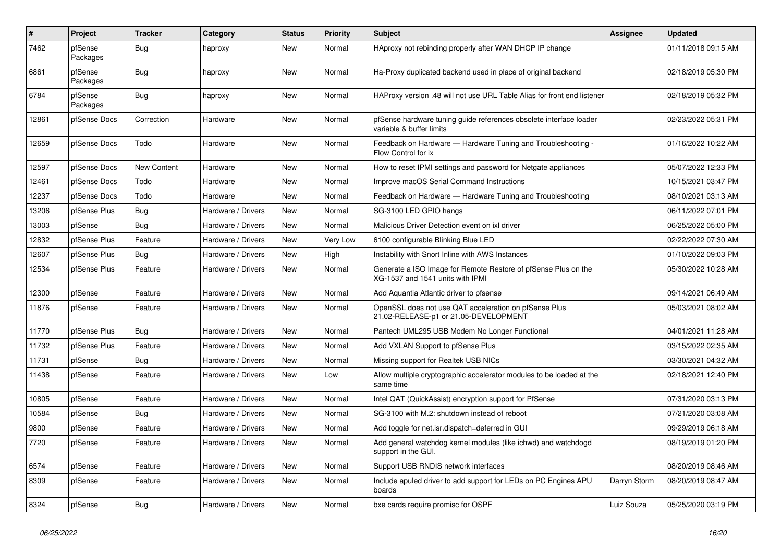| $\vert$ # | <b>Project</b>      | <b>Tracker</b> | Category           | <b>Status</b> | <b>Priority</b> | <b>Subject</b>                                                                                     | Assignee     | <b>Updated</b>      |
|-----------|---------------------|----------------|--------------------|---------------|-----------------|----------------------------------------------------------------------------------------------------|--------------|---------------------|
| 7462      | pfSense<br>Packages | <b>Bug</b>     | haproxy            | <b>New</b>    | Normal          | HAproxy not rebinding properly after WAN DHCP IP change                                            |              | 01/11/2018 09:15 AM |
| 6861      | pfSense<br>Packages | <b>Bug</b>     | haproxy            | New           | Normal          | Ha-Proxy duplicated backend used in place of original backend                                      |              | 02/18/2019 05:30 PM |
| 6784      | pfSense<br>Packages | Bug            | haproxy            | New           | Normal          | HAProxy version .48 will not use URL Table Alias for front end listener                            |              | 02/18/2019 05:32 PM |
| 12861     | pfSense Docs        | Correction     | Hardware           | <b>New</b>    | Normal          | pfSense hardware tuning guide references obsolete interface loader<br>variable & buffer limits     |              | 02/23/2022 05:31 PM |
| 12659     | pfSense Docs        | Todo           | Hardware           | <b>New</b>    | Normal          | Feedback on Hardware - Hardware Tuning and Troubleshooting -<br>Flow Control for ix                |              | 01/16/2022 10:22 AM |
| 12597     | pfSense Docs        | New Content    | Hardware           | <b>New</b>    | Normal          | How to reset IPMI settings and password for Netgate appliances                                     |              | 05/07/2022 12:33 PM |
| 12461     | pfSense Docs        | Todo           | Hardware           | <b>New</b>    | Normal          | Improve macOS Serial Command Instructions                                                          |              | 10/15/2021 03:47 PM |
| 12237     | pfSense Docs        | Todo           | Hardware           | New           | Normal          | Feedback on Hardware - Hardware Tuning and Troubleshooting                                         |              | 08/10/2021 03:13 AM |
| 13206     | pfSense Plus        | Bug            | Hardware / Drivers | New           | Normal          | SG-3100 LED GPIO hangs                                                                             |              | 06/11/2022 07:01 PM |
| 13003     | pfSense             | Bug            | Hardware / Drivers | New           | Normal          | Malicious Driver Detection event on ixl driver                                                     |              | 06/25/2022 05:00 PM |
| 12832     | pfSense Plus        | Feature        | Hardware / Drivers | New           | Very Low        | 6100 configurable Blinking Blue LED                                                                |              | 02/22/2022 07:30 AM |
| 12607     | pfSense Plus        | Bug            | Hardware / Drivers | New           | High            | Instability with Snort Inline with AWS Instances                                                   |              | 01/10/2022 09:03 PM |
| 12534     | pfSense Plus        | Feature        | Hardware / Drivers | <b>New</b>    | Normal          | Generate a ISO Image for Remote Restore of pfSense Plus on the<br>XG-1537 and 1541 units with IPMI |              | 05/30/2022 10:28 AM |
| 12300     | pfSense             | Feature        | Hardware / Drivers | <b>New</b>    | Normal          | Add Aquantia Atlantic driver to pfsense                                                            |              | 09/14/2021 06:49 AM |
| 11876     | pfSense             | Feature        | Hardware / Drivers | <b>New</b>    | Normal          | OpenSSL does not use QAT acceleration on pfSense Plus<br>21.02-RELEASE-p1 or 21.05-DEVELOPMENT     |              | 05/03/2021 08:02 AM |
| 11770     | pfSense Plus        | <b>Bug</b>     | Hardware / Drivers | <b>New</b>    | Normal          | Pantech UML295 USB Modem No Longer Functional                                                      |              | 04/01/2021 11:28 AM |
| 11732     | pfSense Plus        | Feature        | Hardware / Drivers | New           | Normal          | Add VXLAN Support to pfSense Plus                                                                  |              | 03/15/2022 02:35 AM |
| 11731     | pfSense             | Bug            | Hardware / Drivers | New           | Normal          | Missing support for Realtek USB NICs                                                               |              | 03/30/2021 04:32 AM |
| 11438     | pfSense             | Feature        | Hardware / Drivers | New           | Low             | Allow multiple cryptographic accelerator modules to be loaded at the<br>same time                  |              | 02/18/2021 12:40 PM |
| 10805     | pfSense             | Feature        | Hardware / Drivers | <b>New</b>    | Normal          | Intel QAT (QuickAssist) encryption support for PfSense                                             |              | 07/31/2020 03:13 PM |
| 10584     | pfSense             | Bug            | Hardware / Drivers | <b>New</b>    | Normal          | SG-3100 with M.2: shutdown instead of reboot                                                       |              | 07/21/2020 03:08 AM |
| 9800      | pfSense             | Feature        | Hardware / Drivers | <b>New</b>    | Normal          | Add toggle for net.isr.dispatch=deferred in GUI                                                    |              | 09/29/2019 06:18 AM |
| 7720      | pfSense             | Feature        | Hardware / Drivers | <b>New</b>    | Normal          | Add general watchdog kernel modules (like ichwd) and watchdogd<br>support in the GUI.              |              | 08/19/2019 01:20 PM |
| 6574      | pfSense             | Feature        | Hardware / Drivers | <b>New</b>    | Normal          | Support USB RNDIS network interfaces                                                               |              | 08/20/2019 08:46 AM |
| 8309      | pfSense             | Feature        | Hardware / Drivers | New           | Normal          | Include apuled driver to add support for LEDs on PC Engines APU<br>boards                          | Darryn Storm | 08/20/2019 08:47 AM |
| 8324      | pfSense             | Bug            | Hardware / Drivers | New           | Normal          | bxe cards require promisc for OSPF                                                                 | Luiz Souza   | 05/25/2020 03:19 PM |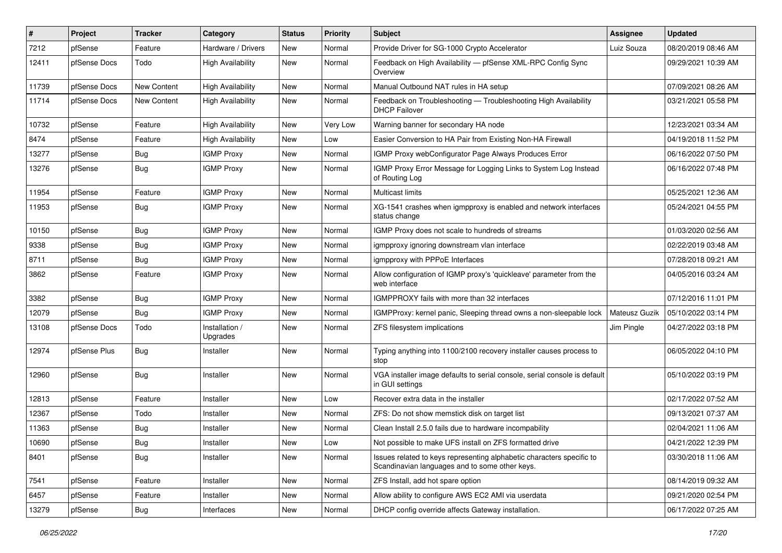| #     | Project      | <b>Tracker</b>     | Category                   | <b>Status</b> | <b>Priority</b> | <b>Subject</b>                                                                                                          | Assignee      | <b>Updated</b>      |
|-------|--------------|--------------------|----------------------------|---------------|-----------------|-------------------------------------------------------------------------------------------------------------------------|---------------|---------------------|
| 7212  | pfSense      | Feature            | Hardware / Drivers         | New           | Normal          | Provide Driver for SG-1000 Crypto Accelerator                                                                           | Luiz Souza    | 08/20/2019 08:46 AM |
| 12411 | pfSense Docs | Todo               | <b>High Availability</b>   | New           | Normal          | Feedback on High Availability - pfSense XML-RPC Config Sync<br>Overview                                                 |               | 09/29/2021 10:39 AM |
| 11739 | pfSense Docs | <b>New Content</b> | <b>High Availability</b>   | New           | Normal          | Manual Outbound NAT rules in HA setup                                                                                   |               | 07/09/2021 08:26 AM |
| 11714 | pfSense Docs | <b>New Content</b> | <b>High Availability</b>   | New           | Normal          | Feedback on Troubleshooting - Troubleshooting High Availability<br><b>DHCP Failover</b>                                 |               | 03/21/2021 05:58 PM |
| 10732 | pfSense      | Feature            | <b>High Availability</b>   | New           | Very Low        | Warning banner for secondary HA node                                                                                    |               | 12/23/2021 03:34 AM |
| 8474  | pfSense      | Feature            | <b>High Availability</b>   | New           | Low             | Easier Conversion to HA Pair from Existing Non-HA Firewall                                                              |               | 04/19/2018 11:52 PM |
| 13277 | pfSense      | Bug                | <b>IGMP Proxy</b>          | New           | Normal          | IGMP Proxy webConfigurator Page Always Produces Error                                                                   |               | 06/16/2022 07:50 PM |
| 13276 | pfSense      | Bug                | <b>IGMP Proxy</b>          | New           | Normal          | IGMP Proxy Error Message for Logging Links to System Log Instead<br>of Routing Log                                      |               | 06/16/2022 07:48 PM |
| 11954 | pfSense      | Feature            | <b>IGMP Proxy</b>          | New           | Normal          | Multicast limits                                                                                                        |               | 05/25/2021 12:36 AM |
| 11953 | pfSense      | <b>Bug</b>         | <b>IGMP Proxy</b>          | New           | Normal          | XG-1541 crashes when igmpproxy is enabled and network interfaces<br>status change                                       |               | 05/24/2021 04:55 PM |
| 10150 | pfSense      | Bug                | <b>IGMP Proxy</b>          | New           | Normal          | IGMP Proxy does not scale to hundreds of streams                                                                        |               | 01/03/2020 02:56 AM |
| 9338  | pfSense      | <b>Bug</b>         | <b>IGMP Proxy</b>          | New           | Normal          | igmpproxy ignoring downstream vlan interface                                                                            |               | 02/22/2019 03:48 AM |
| 8711  | pfSense      | <b>Bug</b>         | <b>IGMP Proxy</b>          | New           | Normal          | igmpproxy with PPPoE Interfaces                                                                                         |               | 07/28/2018 09:21 AM |
| 3862  | pfSense      | Feature            | <b>IGMP Proxy</b>          | New           | Normal          | Allow configuration of IGMP proxy's 'quickleave' parameter from the<br>web interface                                    |               | 04/05/2016 03:24 AM |
| 3382  | pfSense      | Bug                | <b>IGMP Proxy</b>          | New           | Normal          | IGMPPROXY fails with more than 32 interfaces                                                                            |               | 07/12/2016 11:01 PM |
| 12079 | pfSense      | <b>Bug</b>         | <b>IGMP Proxy</b>          | New           | Normal          | IGMPProxy: kernel panic, Sleeping thread owns a non-sleepable lock                                                      | Mateusz Guzik | 05/10/2022 03:14 PM |
| 13108 | pfSense Docs | Todo               | Installation /<br>Upgrades | New           | Normal          | ZFS filesystem implications                                                                                             | Jim Pingle    | 04/27/2022 03:18 PM |
| 12974 | pfSense Plus | Bug                | Installer                  | New           | Normal          | Typing anything into 1100/2100 recovery installer causes process to<br>stop                                             |               | 06/05/2022 04:10 PM |
| 12960 | pfSense      | Bug                | Installer                  | New           | Normal          | VGA installer image defaults to serial console, serial console is default<br>in GUI settings                            |               | 05/10/2022 03:19 PM |
| 12813 | pfSense      | Feature            | Installer                  | New           | Low             | Recover extra data in the installer                                                                                     |               | 02/17/2022 07:52 AM |
| 12367 | pfSense      | Todo               | Installer                  | New           | Normal          | ZFS: Do not show memstick disk on target list                                                                           |               | 09/13/2021 07:37 AM |
| 11363 | pfSense      | <b>Bug</b>         | Installer                  | New           | Normal          | Clean Install 2.5.0 fails due to hardware incompability                                                                 |               | 02/04/2021 11:06 AM |
| 10690 | pfSense      | Bug                | Installer                  | New           | Low             | Not possible to make UFS install on ZFS formatted drive                                                                 |               | 04/21/2022 12:39 PM |
| 8401  | pfSense      | <b>Bug</b>         | Installer                  | New           | Normal          | Issues related to keys representing alphabetic characters specific to<br>Scandinavian languages and to some other keys. |               | 03/30/2018 11:06 AM |
| 7541  | pfSense      | Feature            | Installer                  | New           | Normal          | ZFS Install, add hot spare option                                                                                       |               | 08/14/2019 09:32 AM |
| 6457  | pfSense      | Feature            | Installer                  | New           | Normal          | Allow ability to configure AWS EC2 AMI via userdata                                                                     |               | 09/21/2020 02:54 PM |
| 13279 | pfSense      | Bug                | Interfaces                 | New           | Normal          | DHCP config override affects Gateway installation.                                                                      |               | 06/17/2022 07:25 AM |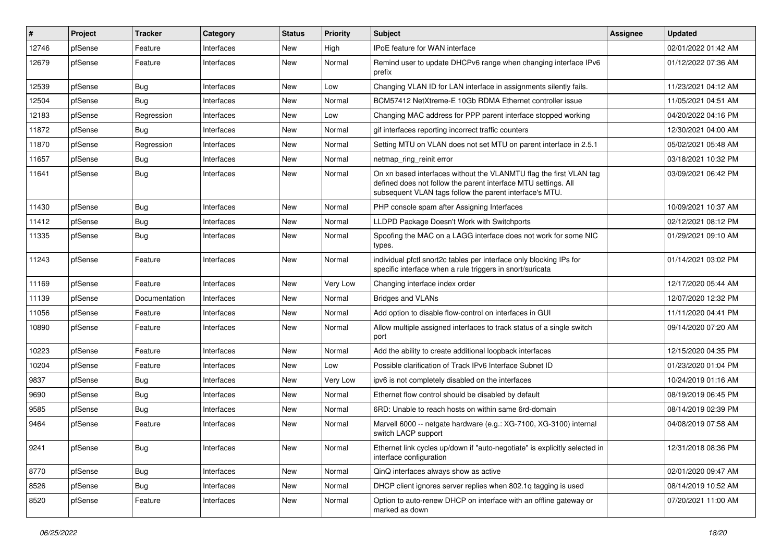| #     | Project | <b>Tracker</b> | Category   | <b>Status</b> | <b>Priority</b> | <b>Subject</b>                                                                                                                                                                                  | <b>Assignee</b> | <b>Updated</b>      |
|-------|---------|----------------|------------|---------------|-----------------|-------------------------------------------------------------------------------------------------------------------------------------------------------------------------------------------------|-----------------|---------------------|
| 12746 | pfSense | Feature        | Interfaces | New           | High            | IPoE feature for WAN interface                                                                                                                                                                  |                 | 02/01/2022 01:42 AM |
| 12679 | pfSense | Feature        | Interfaces | New           | Normal          | Remind user to update DHCPv6 range when changing interface IPv6<br>prefix                                                                                                                       |                 | 01/12/2022 07:36 AM |
| 12539 | pfSense | <b>Bug</b>     | Interfaces | New           | Low             | Changing VLAN ID for LAN interface in assignments silently fails.                                                                                                                               |                 | 11/23/2021 04:12 AM |
| 12504 | pfSense | Bug            | Interfaces | New           | Normal          | BCM57412 NetXtreme-E 10Gb RDMA Ethernet controller issue                                                                                                                                        |                 | 11/05/2021 04:51 AM |
| 12183 | pfSense | Regression     | Interfaces | New           | Low             | Changing MAC address for PPP parent interface stopped working                                                                                                                                   |                 | 04/20/2022 04:16 PM |
| 11872 | pfSense | <b>Bug</b>     | Interfaces | New           | Normal          | gif interfaces reporting incorrect traffic counters                                                                                                                                             |                 | 12/30/2021 04:00 AM |
| 11870 | pfSense | Regression     | Interfaces | New           | Normal          | Setting MTU on VLAN does not set MTU on parent interface in 2.5.1                                                                                                                               |                 | 05/02/2021 05:48 AM |
| 11657 | pfSense | Bug            | Interfaces | New           | Normal          | netmap ring reinit error                                                                                                                                                                        |                 | 03/18/2021 10:32 PM |
| 11641 | pfSense | <b>Bug</b>     | Interfaces | New           | Normal          | On xn based interfaces without the VLANMTU flag the first VLAN tag<br>defined does not follow the parent interface MTU settings. All<br>subsequent VLAN tags follow the parent interface's MTU. |                 | 03/09/2021 06:42 PM |
| 11430 | pfSense | Bug            | Interfaces | <b>New</b>    | Normal          | PHP console spam after Assigning Interfaces                                                                                                                                                     |                 | 10/09/2021 10:37 AM |
| 11412 | pfSense | Bug            | Interfaces | New           | Normal          | LLDPD Package Doesn't Work with Switchports                                                                                                                                                     |                 | 02/12/2021 08:12 PM |
| 11335 | pfSense | Bug            | Interfaces | New           | Normal          | Spoofing the MAC on a LAGG interface does not work for some NIC<br>types.                                                                                                                       |                 | 01/29/2021 09:10 AM |
| 11243 | pfSense | Feature        | Interfaces | New           | Normal          | individual pfctl snort2c tables per interface only blocking IPs for<br>specific interface when a rule triggers in snort/suricata                                                                |                 | 01/14/2021 03:02 PM |
| 11169 | pfSense | Feature        | Interfaces | New           | Very Low        | Changing interface index order                                                                                                                                                                  |                 | 12/17/2020 05:44 AM |
| 11139 | pfSense | Documentation  | Interfaces | New           | Normal          | <b>Bridges and VLANs</b>                                                                                                                                                                        |                 | 12/07/2020 12:32 PM |
| 11056 | pfSense | Feature        | Interfaces | New           | Normal          | Add option to disable flow-control on interfaces in GUI                                                                                                                                         |                 | 11/11/2020 04:41 PM |
| 10890 | pfSense | Feature        | Interfaces | New           | Normal          | Allow multiple assigned interfaces to track status of a single switch<br>port                                                                                                                   |                 | 09/14/2020 07:20 AM |
| 10223 | pfSense | Feature        | Interfaces | <b>New</b>    | Normal          | Add the ability to create additional loopback interfaces                                                                                                                                        |                 | 12/15/2020 04:35 PM |
| 10204 | pfSense | Feature        | Interfaces | New           | Low             | Possible clarification of Track IPv6 Interface Subnet ID                                                                                                                                        |                 | 01/23/2020 01:04 PM |
| 9837  | pfSense | <b>Bug</b>     | Interfaces | New           | Very Low        | ipv6 is not completely disabled on the interfaces                                                                                                                                               |                 | 10/24/2019 01:16 AM |
| 9690  | pfSense | Bug            | Interfaces | New           | Normal          | Ethernet flow control should be disabled by default                                                                                                                                             |                 | 08/19/2019 06:45 PM |
| 9585  | pfSense | <b>Bug</b>     | Interfaces | New           | Normal          | 6RD: Unable to reach hosts on within same 6rd-domain                                                                                                                                            |                 | 08/14/2019 02:39 PM |
| 9464  | pfSense | Feature        | Interfaces | New           | Normal          | Marvell 6000 -- netgate hardware (e.g.: XG-7100, XG-3100) internal<br>switch LACP support                                                                                                       |                 | 04/08/2019 07:58 AM |
| 9241  | pfSense | <b>Bug</b>     | Interfaces | New           | Normal          | Ethernet link cycles up/down if "auto-negotiate" is explicitly selected in<br>interface configuration                                                                                           |                 | 12/31/2018 08:36 PM |
| 8770  | pfSense | Bug            | Interfaces | New           | Normal          | QinQ interfaces always show as active                                                                                                                                                           |                 | 02/01/2020 09:47 AM |
| 8526  | pfSense | <b>Bug</b>     | Interfaces | New           | Normal          | DHCP client ignores server replies when 802.1q tagging is used                                                                                                                                  |                 | 08/14/2019 10:52 AM |
| 8520  | pfSense | Feature        | Interfaces | New           | Normal          | Option to auto-renew DHCP on interface with an offline gateway or<br>marked as down                                                                                                             |                 | 07/20/2021 11:00 AM |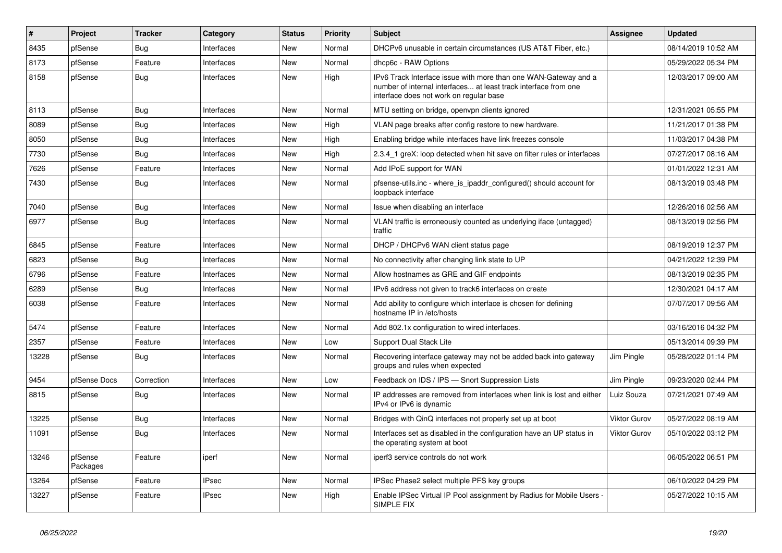| $\vert$ # | Project             | <b>Tracker</b> | Category     | <b>Status</b> | <b>Priority</b> | <b>Subject</b>                                                                                                                                                                | Assignee            | <b>Updated</b>      |
|-----------|---------------------|----------------|--------------|---------------|-----------------|-------------------------------------------------------------------------------------------------------------------------------------------------------------------------------|---------------------|---------------------|
| 8435      | pfSense             | Bug            | Interfaces   | New           | Normal          | DHCPv6 unusable in certain circumstances (US AT&T Fiber, etc.)                                                                                                                |                     | 08/14/2019 10:52 AM |
| 8173      | pfSense             | Feature        | Interfaces   | New           | Normal          | dhcp6c - RAW Options                                                                                                                                                          |                     | 05/29/2022 05:34 PM |
| 8158      | pfSense             | Bug            | Interfaces   | New           | High            | IPv6 Track Interface issue with more than one WAN-Gateway and a<br>number of internal interfaces at least track interface from one<br>interface does not work on regular base |                     | 12/03/2017 09:00 AM |
| 8113      | pfSense             | Bug            | Interfaces   | New           | Normal          | MTU setting on bridge, openypn clients ignored                                                                                                                                |                     | 12/31/2021 05:55 PM |
| 8089      | pfSense             | Bug            | Interfaces   | New           | High            | VLAN page breaks after config restore to new hardware.                                                                                                                        |                     | 11/21/2017 01:38 PM |
| 8050      | pfSense             | Bug            | Interfaces   | New           | High            | Enabling bridge while interfaces have link freezes console                                                                                                                    |                     | 11/03/2017 04:38 PM |
| 7730      | pfSense             | Bug            | Interfaces   | New           | High            | 2.3.4_1 greX: loop detected when hit save on filter rules or interfaces                                                                                                       |                     | 07/27/2017 08:16 AM |
| 7626      | pfSense             | Feature        | Interfaces   | New           | Normal          | Add IPoE support for WAN                                                                                                                                                      |                     | 01/01/2022 12:31 AM |
| 7430      | pfSense             | <b>Bug</b>     | Interfaces   | New           | Normal          | pfsense-utils.inc - where_is_ipaddr_configured() should account for<br>loopback interface                                                                                     |                     | 08/13/2019 03:48 PM |
| 7040      | pfSense             | <b>Bug</b>     | Interfaces   | New           | Normal          | Issue when disabling an interface                                                                                                                                             |                     | 12/26/2016 02:56 AM |
| 6977      | pfSense             | Bug            | Interfaces   | New           | Normal          | VLAN traffic is erroneously counted as underlying iface (untagged)<br>traffic                                                                                                 |                     | 08/13/2019 02:56 PM |
| 6845      | pfSense             | Feature        | Interfaces   | <b>New</b>    | Normal          | DHCP / DHCPv6 WAN client status page                                                                                                                                          |                     | 08/19/2019 12:37 PM |
| 6823      | pfSense             | Bug            | Interfaces   | New           | Normal          | No connectivity after changing link state to UP                                                                                                                               |                     | 04/21/2022 12:39 PM |
| 6796      | pfSense             | Feature        | Interfaces   | New           | Normal          | Allow hostnames as GRE and GIF endpoints                                                                                                                                      |                     | 08/13/2019 02:35 PM |
| 6289      | pfSense             | Bug            | Interfaces   | New           | Normal          | IPv6 address not given to track6 interfaces on create                                                                                                                         |                     | 12/30/2021 04:17 AM |
| 6038      | pfSense             | Feature        | Interfaces   | New           | Normal          | Add ability to configure which interface is chosen for defining<br>hostname IP in /etc/hosts                                                                                  |                     | 07/07/2017 09:56 AM |
| 5474      | pfSense             | Feature        | Interfaces   | New           | Normal          | Add 802.1x configuration to wired interfaces.                                                                                                                                 |                     | 03/16/2016 04:32 PM |
| 2357      | pfSense             | Feature        | Interfaces   | New           | Low             | Support Dual Stack Lite                                                                                                                                                       |                     | 05/13/2014 09:39 PM |
| 13228     | pfSense             | Bug            | Interfaces   | New           | Normal          | Recovering interface gateway may not be added back into gateway<br>groups and rules when expected                                                                             | Jim Pingle          | 05/28/2022 01:14 PM |
| 9454      | pfSense Docs        | Correction     | Interfaces   | New           | Low             | Feedback on IDS / IPS - Snort Suppression Lists                                                                                                                               | Jim Pingle          | 09/23/2020 02:44 PM |
| 8815      | pfSense             | Bug            | Interfaces   | New           | Normal          | IP addresses are removed from interfaces when link is lost and either<br>IPv4 or IPv6 is dynamic                                                                              | Luiz Souza          | 07/21/2021 07:49 AM |
| 13225     | pfSense             | Bug            | Interfaces   | New           | Normal          | Bridges with QinQ interfaces not properly set up at boot                                                                                                                      | <b>Viktor Gurov</b> | 05/27/2022 08:19 AM |
| 11091     | pfSense             | Bug            | Interfaces   | New           | Normal          | Interfaces set as disabled in the configuration have an UP status in<br>the operating system at boot                                                                          | Viktor Gurov        | 05/10/2022 03:12 PM |
| 13246     | pfSense<br>Packages | Feature        | iperf        | New           | Normal          | iperf3 service controls do not work                                                                                                                                           |                     | 06/05/2022 06:51 PM |
| 13264     | pfSense             | Feature        | <b>IPsec</b> | New           | Normal          | IPSec Phase2 select multiple PFS key groups                                                                                                                                   |                     | 06/10/2022 04:29 PM |
| 13227     | pfSense             | Feature        | <b>IPsec</b> | New           | High            | Enable IPSec Virtual IP Pool assignment by Radius for Mobile Users -<br>SIMPLE FIX                                                                                            |                     | 05/27/2022 10:15 AM |